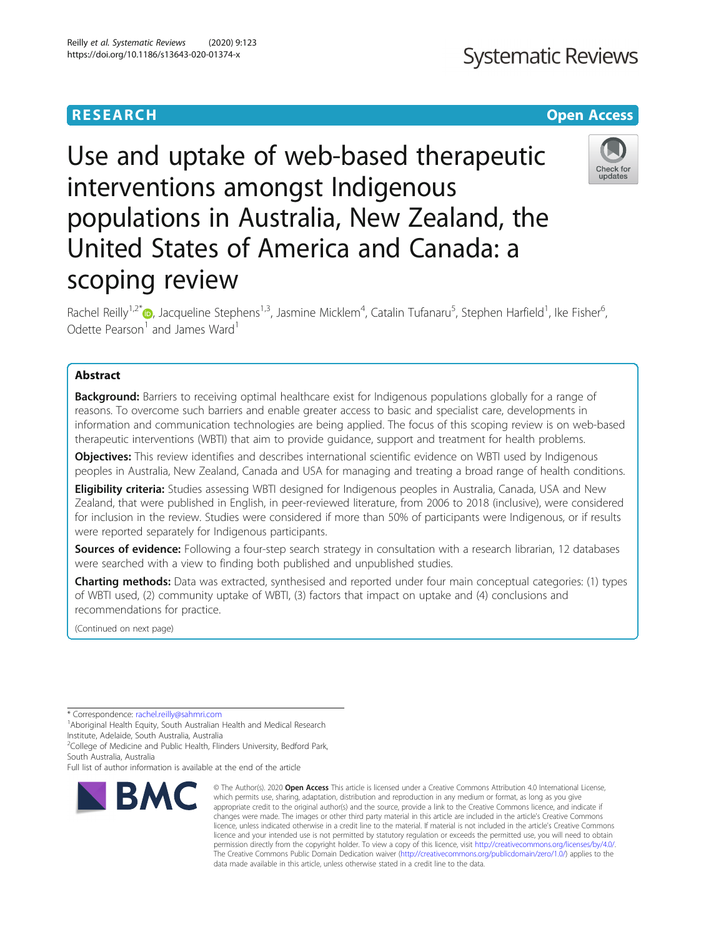# Use and uptake of web-based therapeutic interventions amongst Indigenous populations in Australia, New Zealand, the United States of America and Canada: a scoping review

Rachel Reilly<sup>1,2[\\*](http://orcid.org/0000-0003-2107-9187)</sup>®, Jacqueline Stephens<sup>1,3</sup>, Jasmine Micklem<sup>4</sup>, Catalin Tufanaru<sup>5</sup>, Stephen Harfield<sup>1</sup>, Ike Fisher<sup>6</sup> י<br>, Odette Pearson<sup>1</sup> and James Ward<sup>1</sup>

### Abstract

**Background:** Barriers to receiving optimal healthcare exist for Indigenous populations globally for a range of reasons. To overcome such barriers and enable greater access to basic and specialist care, developments in information and communication technologies are being applied. The focus of this scoping review is on web-based therapeutic interventions (WBTI) that aim to provide guidance, support and treatment for health problems.

**Objectives:** This review identifies and describes international scientific evidence on WBTI used by Indigenous peoples in Australia, New Zealand, Canada and USA for managing and treating a broad range of health conditions.

**Eligibility criteria:** Studies assessing WBTI designed for Indigenous peoples in Australia, Canada, USA and New Zealand, that were published in English, in peer-reviewed literature, from 2006 to 2018 (inclusive), were considered for inclusion in the review. Studies were considered if more than 50% of participants were Indigenous, or if results were reported separately for Indigenous participants.

Sources of evidence: Following a four-step search strategy in consultation with a research librarian, 12 databases were searched with a view to finding both published and unpublished studies.

Charting methods: Data was extracted, synthesised and reported under four main conceptual categories: (1) types of WBTI used, (2) community uptake of WBTI, (3) factors that impact on uptake and (4) conclusions and recommendations for practice.

(Continued on next page)

\* Correspondence: [rachel.reilly@sahmri.com](mailto:rachel.reilly@sahmri.com) <sup>1</sup>

<sup>1</sup> Aboriginal Health Equity, South Australian Health and Medical Research Institute, Adelaide, South Australia, Australia

<sup>2</sup>College of Medicine and Public Health, Flinders University, Bedford Park,

South Australia, Australia

## Reilly et al. Systematic Reviews (2020) 9:123

which permits use, sharing, adaptation, distribution and reproduction in any medium or format, as long as you give appropriate credit to the original author(s) and the source, provide a link to the Creative Commons licence, and indicate if changes were made. The images or other third party material in this article are included in the article's Creative Commons licence, unless indicated otherwise in a credit line to the material. If material is not included in the article's Creative Commons licence and your intended use is not permitted by statutory regulation or exceeds the permitted use, you will need to obtain permission directly from the copyright holder. To view a copy of this licence, visit [http://creativecommons.org/licenses/by/4.0/.](http://creativecommons.org/licenses/by/4.0/) The Creative Commons Public Domain Dedication waiver [\(http://creativecommons.org/publicdomain/zero/1.0/](http://creativecommons.org/publicdomain/zero/1.0/)) applies to the data made available in this article, unless otherwise stated in a credit line to the data.

© The Author(s), 2020 **Open Access** This article is licensed under a Creative Commons Attribution 4.0 International License,

**BMC** 









Full list of author information is available at the end of the article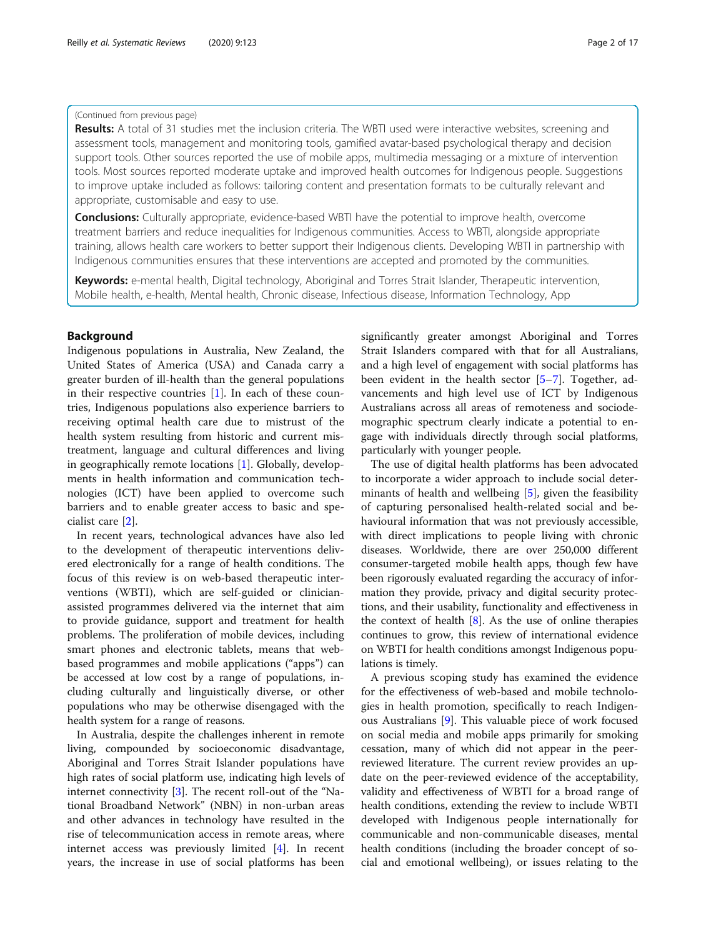#### (Continued from previous page)

Results: A total of 31 studies met the inclusion criteria. The WBTI used were interactive websites, screening and assessment tools, management and monitoring tools, gamified avatar-based psychological therapy and decision support tools. Other sources reported the use of mobile apps, multimedia messaging or a mixture of intervention tools. Most sources reported moderate uptake and improved health outcomes for Indigenous people. Suggestions to improve uptake included as follows: tailoring content and presentation formats to be culturally relevant and appropriate, customisable and easy to use.

**Conclusions:** Culturally appropriate, evidence-based WBTI have the potential to improve health, overcome treatment barriers and reduce inequalities for Indigenous communities. Access to WBTI, alongside appropriate training, allows health care workers to better support their Indigenous clients. Developing WBTI in partnership with Indigenous communities ensures that these interventions are accepted and promoted by the communities.

Keywords: e-mental health, Digital technology, Aboriginal and Torres Strait Islander, Therapeutic intervention, Mobile health, e-health, Mental health, Chronic disease, Infectious disease, Information Technology, App

#### Background

Indigenous populations in Australia, New Zealand, the United States of America (USA) and Canada carry a greater burden of ill-health than the general populations in their respective countries [[1\]](#page-14-0). In each of these countries, Indigenous populations also experience barriers to receiving optimal health care due to mistrust of the health system resulting from historic and current mistreatment, language and cultural differences and living in geographically remote locations [\[1](#page-14-0)]. Globally, developments in health information and communication technologies (ICT) have been applied to overcome such barriers and to enable greater access to basic and specialist care [[2\]](#page-14-0).

In recent years, technological advances have also led to the development of therapeutic interventions delivered electronically for a range of health conditions. The focus of this review is on web-based therapeutic interventions (WBTI), which are self-guided or clinicianassisted programmes delivered via the internet that aim to provide guidance, support and treatment for health problems. The proliferation of mobile devices, including smart phones and electronic tablets, means that webbased programmes and mobile applications ("apps") can be accessed at low cost by a range of populations, including culturally and linguistically diverse, or other populations who may be otherwise disengaged with the health system for a range of reasons.

In Australia, despite the challenges inherent in remote living, compounded by socioeconomic disadvantage, Aboriginal and Torres Strait Islander populations have high rates of social platform use, indicating high levels of internet connectivity [\[3](#page-14-0)]. The recent roll-out of the "National Broadband Network" (NBN) in non-urban areas and other advances in technology have resulted in the rise of telecommunication access in remote areas, where internet access was previously limited [[4\]](#page-15-0). In recent years, the increase in use of social platforms has been significantly greater amongst Aboriginal and Torres Strait Islanders compared with that for all Australians, and a high level of engagement with social platforms has been evident in the health sector [\[5](#page-15-0)–[7](#page-15-0)]. Together, advancements and high level use of ICT by Indigenous Australians across all areas of remoteness and sociodemographic spectrum clearly indicate a potential to engage with individuals directly through social platforms, particularly with younger people.

The use of digital health platforms has been advocated to incorporate a wider approach to include social determinants of health and wellbeing [\[5\]](#page-15-0), given the feasibility of capturing personalised health-related social and behavioural information that was not previously accessible, with direct implications to people living with chronic diseases. Worldwide, there are over 250,000 different consumer-targeted mobile health apps, though few have been rigorously evaluated regarding the accuracy of information they provide, privacy and digital security protections, and their usability, functionality and effectiveness in the context of health  $[8]$  $[8]$ . As the use of online therapies continues to grow, this review of international evidence on WBTI for health conditions amongst Indigenous populations is timely.

A previous scoping study has examined the evidence for the effectiveness of web-based and mobile technologies in health promotion, specifically to reach Indigenous Australians [\[9](#page-15-0)]. This valuable piece of work focused on social media and mobile apps primarily for smoking cessation, many of which did not appear in the peerreviewed literature. The current review provides an update on the peer-reviewed evidence of the acceptability, validity and effectiveness of WBTI for a broad range of health conditions, extending the review to include WBTI developed with Indigenous people internationally for communicable and non-communicable diseases, mental health conditions (including the broader concept of social and emotional wellbeing), or issues relating to the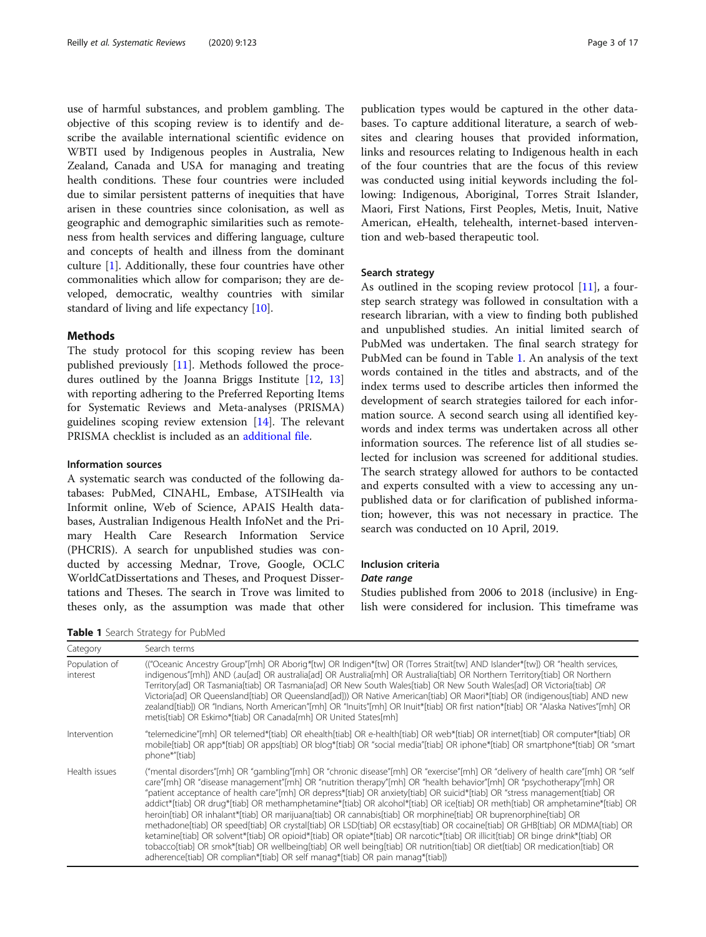<span id="page-2-0"></span>use of harmful substances, and problem gambling. The objective of this scoping review is to identify and describe the available international scientific evidence on WBTI used by Indigenous peoples in Australia, New Zealand, Canada and USA for managing and treating health conditions. These four countries were included due to similar persistent patterns of inequities that have arisen in these countries since colonisation, as well as geographic and demographic similarities such as remoteness from health services and differing language, culture and concepts of health and illness from the dominant culture [[1\]](#page-14-0). Additionally, these four countries have other commonalities which allow for comparison; they are developed, democratic, wealthy countries with similar standard of living and life expectancy [\[10](#page-15-0)].

#### Methods

The study protocol for this scoping review has been published previously [\[11\]](#page-15-0). Methods followed the procedures outlined by the Joanna Briggs Institute [[12](#page-15-0), [13](#page-15-0)] with reporting adhering to the Preferred Reporting Items for Systematic Reviews and Meta-analyses (PRISMA) guidelines scoping review extension [[14\]](#page-15-0). The relevant PRISMA checklist is included as an [additional file](#page-14-0).

#### Information sources

A systematic search was conducted of the following databases: PubMed, CINAHL, Embase, ATSIHealth via Informit online, Web of Science, APAIS Health databases, Australian Indigenous Health InfoNet and the Primary Health Care Research Information Service (PHCRIS). A search for unpublished studies was conducted by accessing Mednar, Trove, Google, OCLC WorldCatDissertations and Theses, and Proquest Dissertations and Theses. The search in Trove was limited to theses only, as the assumption was made that other

publication types would be captured in the other databases. To capture additional literature, a search of websites and clearing houses that provided information, links and resources relating to Indigenous health in each of the four countries that are the focus of this review was conducted using initial keywords including the following: Indigenous, Aboriginal, Torres Strait Islander, Maori, First Nations, First Peoples, Metis, Inuit, Native American, eHealth, telehealth, internet-based intervention and web-based therapeutic tool.

#### Search strategy

As outlined in the scoping review protocol  $[11]$ , a fourstep search strategy was followed in consultation with a research librarian, with a view to finding both published and unpublished studies. An initial limited search of PubMed was undertaken. The final search strategy for PubMed can be found in Table 1. An analysis of the text words contained in the titles and abstracts, and of the index terms used to describe articles then informed the development of search strategies tailored for each information source. A second search using all identified keywords and index terms was undertaken across all other information sources. The reference list of all studies selected for inclusion was screened for additional studies. The search strategy allowed for authors to be contacted and experts consulted with a view to accessing any unpublished data or for clarification of published information; however, this was not necessary in practice. The search was conducted on 10 April, 2019.

#### Inclusion criteria

Studies published from 2006 to 2018 (inclusive) in English were considered for inclusion. This timeframe was

Table 1 Search Strategy for PubMed

| Category                  | Search terms                                                                                                                                                                                                                                                                                                                                                                                                                                                                                                                                                                                                                                                                                                                                                                                                                                                                                                                                                                                                                                                                                                                 |
|---------------------------|------------------------------------------------------------------------------------------------------------------------------------------------------------------------------------------------------------------------------------------------------------------------------------------------------------------------------------------------------------------------------------------------------------------------------------------------------------------------------------------------------------------------------------------------------------------------------------------------------------------------------------------------------------------------------------------------------------------------------------------------------------------------------------------------------------------------------------------------------------------------------------------------------------------------------------------------------------------------------------------------------------------------------------------------------------------------------------------------------------------------------|
| Population of<br>interest | (("Oceanic Ancestry Group"[mh] OR Aborig*[tw] OR Indigen*[tw] OR (Torres Strait[tw] AND Islander*[tw]) OR "health services,<br>indigenous"[mh]) AND (au[ad] OR australia[ad] OR Australia[mh] OR Australia[tiab] OR Northern Territory[tiab] OR Northern<br>Territory[ad] OR Tasmania[tiab] OR Tasmania[ad] OR New South Wales[tiab] OR New South Wales[ad] OR Victoria[tiab] OR<br>Victoria[ad] OR Queensland[tiab] OR Queensland[ad])) OR Native American[tiab] OR Maori*[tiab] OR (indigenous[tiab] AND new<br>zealand[tiab]) OR "Indians, North American"[mh] OR "Inuits"[mh] OR Inuit*[tiab] OR first nation*[tiab] OR "Alaska Natives"[mh] OR<br>metis[tiab] OR Eskimo*[tiab] OR Canada[mh] OR United States[mh]                                                                                                                                                                                                                                                                                                                                                                                                       |
| Intervention              | "telemedicine"[mh] OR telemed*[tiab] OR ehealth[tiab] OR e-health[tiab] OR web*[tiab] OR internet[tiab] OR computer*[tiab] OR<br>mobile[tiab] OR app*[tiab] OR apps[tiab] OR blog*[tiab] OR "social media"[tiab] OR iphone*[tiab] OR smartphone*[tiab] OR "smart<br>phone*"[tiab]                                                                                                                                                                                                                                                                                                                                                                                                                                                                                                                                                                                                                                                                                                                                                                                                                                            |
| Health issues             | ("mental disorders"[mh] OR "gambling"[mh] OR "chronic disease"[mh] OR "exercise"[mh] OR "delivery of health care"[mh] OR "self<br>care"[mh] OR "disease management"[mh] OR "nutrition therapy"[mh] OR "health behavior"[mh] OR "psychotherapy"[mh] OR<br>"patient acceptance of health care"[mh] OR depress*[tiab] OR anxiety[tiab] OR suicid*[tiab] OR "stress management[tiab] OR<br>addict*[tiab] OR drug*[tiab] OR methamphetamine*[tiab] OR alcohol*[tiab] OR ice[tiab] OR meth[tiab] OR amphetamine*[tiab] OR<br>heroin[tiab] OR inhalant*[tiab] OR marijuana[tiab] OR cannabis[tiab] OR morphine[tiab] OR buprenorphine[tiab] OR<br>methadone[tiab] OR speed[tiab] OR crystal[tiab] OR LSD[tiab] OR ecstasy[tiab] OR cocaine[tiab] OR GHB[tiab] OR MDMA[tiab] OR<br>ketamine[tiab] OR solvent*[tiab] OR opioid*[tiab] OR opiate*[tiab] OR narcotic*[tiab] OR illicit[tiab] OR binge drink*[tiab] OR R<br>tobacco[tiab] OR smok*[tiab] OR wellbeing[tiab] OR well being[tiab] OR nutrition[tiab] OR diet[tiab] OR medication[tiab] OR<br>adherence[tiab] OR complian*[tiab] OR self manag*[tiab] OR pain manag*[tiab]) |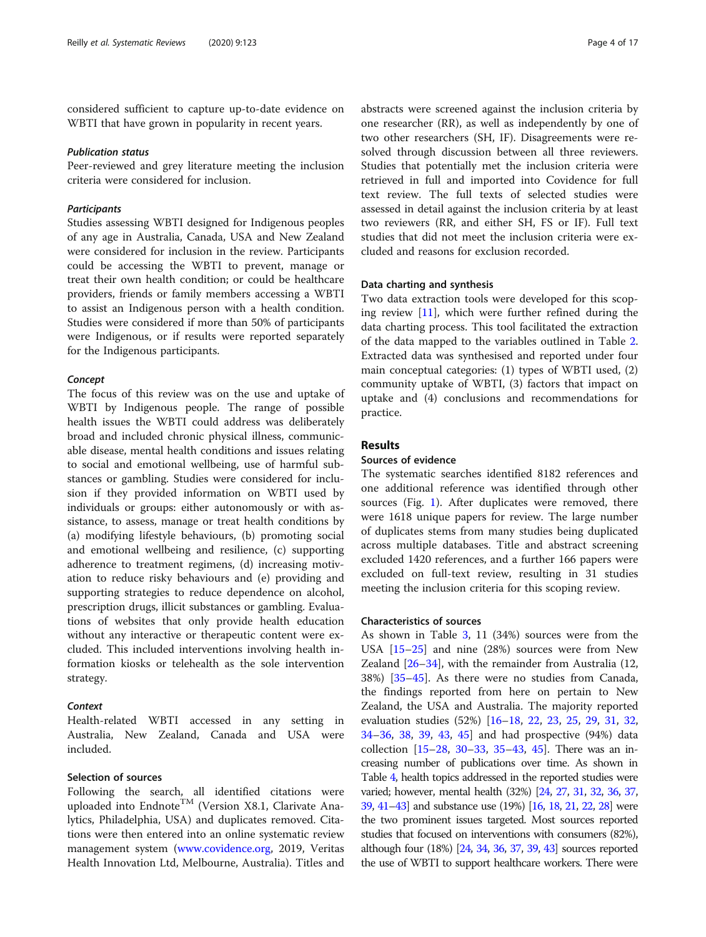considered sufficient to capture up-to-date evidence on WBTI that have grown in popularity in recent years.

#### **Publication status**

Peer-reviewed and grey literature meeting the inclusion criteria were considered for inclusion.

Studies assessing WBTI designed for Indigenous peoples of any age in Australia, Canada, USA and New Zealand were considered for inclusion in the review. Participants could be accessing the WBTI to prevent, manage or treat their own health condition; or could be healthcare providers, friends or family members accessing a WBTI to assist an Indigenous person with a health condition. Studies were considered if more than 50% of participants were Indigenous, or if results were reported separately for the Indigenous participants.

The focus of this review was on the use and uptake of WBTI by Indigenous people. The range of possible health issues the WBTI could address was deliberately broad and included chronic physical illness, communicable disease, mental health conditions and issues relating to social and emotional wellbeing, use of harmful substances or gambling. Studies were considered for inclusion if they provided information on WBTI used by individuals or groups: either autonomously or with assistance, to assess, manage or treat health conditions by (a) modifying lifestyle behaviours, (b) promoting social and emotional wellbeing and resilience, (c) supporting adherence to treatment regimens, (d) increasing motivation to reduce risky behaviours and (e) providing and supporting strategies to reduce dependence on alcohol, prescription drugs, illicit substances or gambling. Evaluations of websites that only provide health education without any interactive or therapeutic content were excluded. This included interventions involving health information kiosks or telehealth as the sole intervention strategy.

Health-related WBTI accessed in any setting in Australia, New Zealand, Canada and USA were included.

#### Selection of sources

Following the search, all identified citations were uploaded into Endnote<sup>TM</sup> (Version X8.1, Clarivate Analytics, Philadelphia, USA) and duplicates removed. Citations were then entered into an online systematic review management system ([www.covidence.org](http://www.covidence.org), 2019, Veritas Health Innovation Ltd, Melbourne, Australia). Titles and abstracts were screened against the inclusion criteria by one researcher (RR), as well as independently by one of two other researchers (SH, IF). Disagreements were resolved through discussion between all three reviewers. Studies that potentially met the inclusion criteria were retrieved in full and imported into Covidence for full text review. The full texts of selected studies were assessed in detail against the inclusion criteria by at least two reviewers (RR, and either SH, FS or IF). Full text studies that did not meet the inclusion criteria were excluded and reasons for exclusion recorded.

#### Data charting and synthesis

Two data extraction tools were developed for this scoping review [[11\]](#page-15-0), which were further refined during the data charting process. This tool facilitated the extraction of the data mapped to the variables outlined in Table [2](#page-4-0). Extracted data was synthesised and reported under four main conceptual categories: (1) types of WBTI used, (2) community uptake of WBTI, (3) factors that impact on uptake and (4) conclusions and recommendations for practice.

#### Results

#### Sources of evidence

The systematic searches identified 8182 references and one additional reference was identified through other sources (Fig. [1\)](#page-4-0). After duplicates were removed, there were 1618 unique papers for review. The large number of duplicates stems from many studies being duplicated across multiple databases. Title and abstract screening excluded 1420 references, and a further 166 papers were excluded on full-text review, resulting in 31 studies meeting the inclusion criteria for this scoping review.

#### Characteristics of sources

As shown in Table [3](#page-5-0), 11 (34%) sources were from the USA [[15](#page-15-0)–[25](#page-15-0)] and nine (28%) sources were from New Zealand [[26](#page-15-0)–[34](#page-15-0)], with the remainder from Australia (12, 38%) [\[35](#page-15-0)–[45](#page-15-0)]. As there were no studies from Canada, the findings reported from here on pertain to New Zealand, the USA and Australia. The majority reported evaluation studies (52%) [[16](#page-15-0)–[18](#page-15-0), [22](#page-15-0), [23,](#page-15-0) [25,](#page-15-0) [29,](#page-15-0) [31](#page-15-0), [32](#page-15-0), [34](#page-15-0)–[36](#page-15-0), [38,](#page-15-0) [39](#page-15-0), [43,](#page-15-0) [45](#page-15-0)] and had prospective (94%) data collection [\[15](#page-15-0)–[28,](#page-15-0) [30](#page-15-0)–[33,](#page-15-0) [35](#page-15-0)–[43](#page-15-0), [45\]](#page-15-0). There was an increasing number of publications over time. As shown in Table [4,](#page-6-0) health topics addressed in the reported studies were varied; however, mental health (32%) [\[24](#page-15-0), [27,](#page-15-0) [31,](#page-15-0) [32](#page-15-0), [36,](#page-15-0) [37](#page-15-0), [39,](#page-15-0) [41](#page-15-0)–[43\]](#page-15-0) and substance use (19%) [\[16](#page-15-0), [18](#page-15-0), [21](#page-15-0), [22](#page-15-0), [28](#page-15-0)] were the two prominent issues targeted. Most sources reported studies that focused on interventions with consumers (82%), although four (18%) [\[24](#page-15-0), [34](#page-15-0), [36,](#page-15-0) [37,](#page-15-0) [39,](#page-15-0) [43](#page-15-0)] sources reported the use of WBTI to support healthcare workers. There were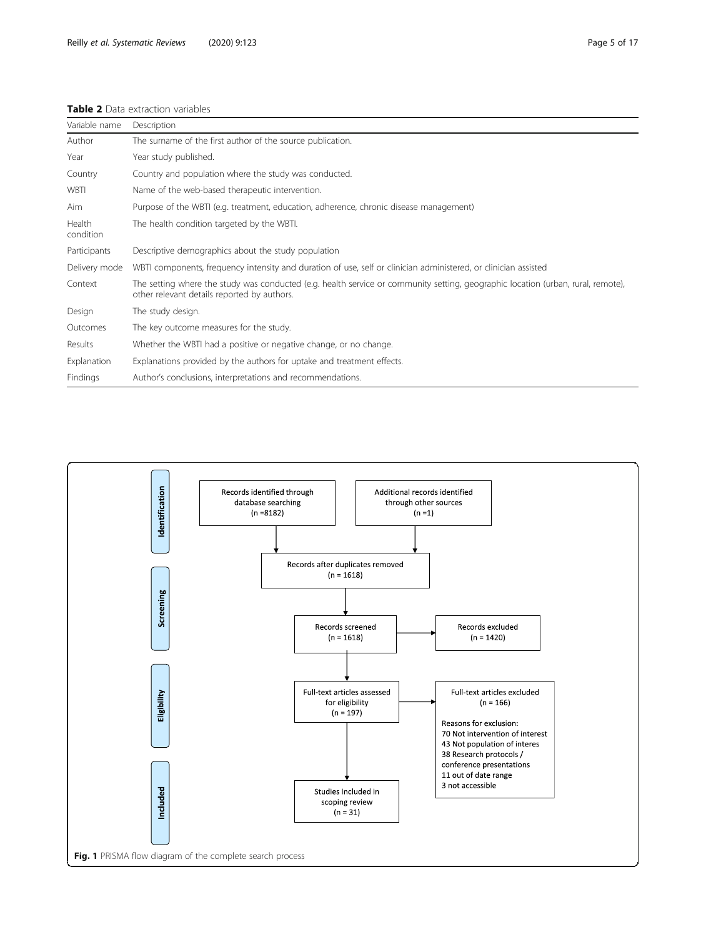#### <span id="page-4-0"></span>Table 2 Data extraction variables

| Variable name       | Description                                                                                                                                                                     |
|---------------------|---------------------------------------------------------------------------------------------------------------------------------------------------------------------------------|
| Author              | The surname of the first author of the source publication.                                                                                                                      |
| Year                | Year study published.                                                                                                                                                           |
| Country             | Country and population where the study was conducted.                                                                                                                           |
| WBTI                | Name of the web-based therapeutic intervention.                                                                                                                                 |
| Aim                 | Purpose of the WBTI (e.g. treatment, education, adherence, chronic disease management)                                                                                          |
| Health<br>condition | The health condition targeted by the WBTI.                                                                                                                                      |
| Participants        | Descriptive demographics about the study population                                                                                                                             |
| Delivery mode       | WBTI components, frequency intensity and duration of use, self or clinician administered, or clinician assisted                                                                 |
| Context             | The setting where the study was conducted (e.g. health service or community setting, geographic location (urban, rural, remote),<br>other relevant details reported by authors. |
| Design              | The study design.                                                                                                                                                               |
| Outcomes            | The key outcome measures for the study.                                                                                                                                         |
| Results             | Whether the WBTI had a positive or negative change, or no change.                                                                                                               |
| Explanation         | Explanations provided by the authors for uptake and treatment effects.                                                                                                          |
| Findings            | Author's conclusions, interpretations and recommendations.                                                                                                                      |

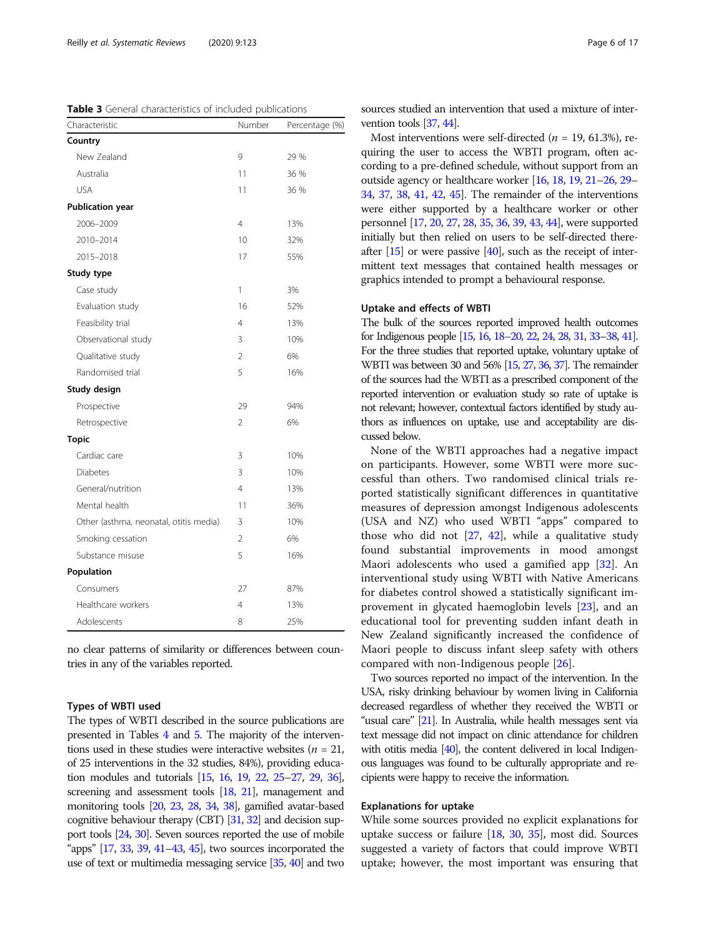<span id="page-5-0"></span>Table 3 General characteristics of included publications

| Characteristic                         | Number         | Percentage (%) |
|----------------------------------------|----------------|----------------|
| Country                                |                |                |
| New Zealand                            | 9              | 29 %           |
| Australia                              | 11             | 36 %           |
| <b>USA</b>                             | 11             | 36 %           |
| <b>Publication year</b>                |                |                |
| 2006-2009                              | $\overline{4}$ | 13%            |
| 2010-2014                              | 10             | 32%            |
| 2015-2018                              | 17             | 55%            |
| Study type                             |                |                |
| Case study                             | 1              | 3%             |
| Evaluation study                       | 16             | 52%            |
| Feasibility trial                      | $\overline{4}$ | 13%            |
| Observational study                    | 3              | 10%            |
| Qualitative study                      | $\overline{2}$ | 6%             |
| Randomised trial                       | 5              | 16%            |
| Study design                           |                |                |
| Prospective                            | 29             | 94%            |
| Retrospective                          | 2              | 6%             |
| <b>Topic</b>                           |                |                |
| Cardiac care                           | 3              | 10%            |
| <b>Diabetes</b>                        | 3              | 10%            |
| General/nutrition                      | $\overline{4}$ | 13%            |
| Mental health                          | 11             | 36%            |
| Other (asthma, neonatal, otitis media) | 3              | 10%            |
| Smoking cessation                      | $\overline{2}$ | 6%             |
| Substance misuse                       | 5              | 16%            |
| Population                             |                |                |
| Consumers                              | 27             | 87%            |
| Healthcare workers                     | $\overline{4}$ | 13%            |
| Adolescents                            | 8              | 25%            |

no clear patterns of similarity or differences between countries in any of the variables reported.

#### Types of WBTI used

The types of WBTI described in the source publications are presented in Tables [4](#page-6-0) and [5.](#page-7-0) The majority of the interventions used in these studies were interactive websites ( $n = 21$ , of 25 interventions in the 32 studies, 84%), providing education modules and tutorials [\[15,](#page-15-0) [16](#page-15-0), [19](#page-15-0), [22,](#page-15-0) [25](#page-15-0)–[27,](#page-15-0) [29](#page-15-0), [36\]](#page-15-0), screening and assessment tools [\[18](#page-15-0), [21\]](#page-15-0), management and monitoring tools [[20,](#page-15-0) [23,](#page-15-0) [28,](#page-15-0) [34,](#page-15-0) [38\]](#page-15-0), gamified avatar-based cognitive behaviour therapy (CBT) [[31,](#page-15-0) [32](#page-15-0)] and decision support tools [\[24](#page-15-0), [30](#page-15-0)]. Seven sources reported the use of mobile "apps"  $[17, 33, 39, 41-43, 45]$  $[17, 33, 39, 41-43, 45]$  $[17, 33, 39, 41-43, 45]$  $[17, 33, 39, 41-43, 45]$  $[17, 33, 39, 41-43, 45]$  $[17, 33, 39, 41-43, 45]$  $[17, 33, 39, 41-43, 45]$  $[17, 33, 39, 41-43, 45]$  $[17, 33, 39, 41-43, 45]$  $[17, 33, 39, 41-43, 45]$  $[17, 33, 39, 41-43, 45]$ , two sources incorporated the use of text or multimedia messaging service [\[35,](#page-15-0) [40](#page-15-0)] and two

sources studied an intervention that used a mixture of intervention tools [\[37,](#page-15-0) [44\]](#page-15-0).

Most interventions were self-directed ( $n = 19, 61.3\%$ ), requiring the user to access the WBTI program, often according to a pre-defined schedule, without support from an outside agency or healthcare worker [[16](#page-15-0), [18](#page-15-0), [19](#page-15-0), [21](#page-15-0)–[26,](#page-15-0) [29](#page-15-0)– [34](#page-15-0), [37](#page-15-0), [38](#page-15-0), [41,](#page-15-0) [42,](#page-15-0) [45\]](#page-15-0). The remainder of the interventions were either supported by a healthcare worker or other personnel [[17](#page-15-0), [20](#page-15-0), [27](#page-15-0), [28](#page-15-0), [35](#page-15-0), [36](#page-15-0), [39](#page-15-0), [43](#page-15-0), [44](#page-15-0)], were supported initially but then relied on users to be self-directed thereafter  $[15]$  or were passive  $[40]$  $[40]$ , such as the receipt of intermittent text messages that contained health messages or graphics intended to prompt a behavioural response.

#### Uptake and effects of WBTI

The bulk of the sources reported improved health outcomes for Indigenous people [\[15](#page-15-0), [16](#page-15-0), [18](#page-15-0)–[20,](#page-15-0) [22](#page-15-0), [24](#page-15-0), [28,](#page-15-0) [31,](#page-15-0) [33](#page-15-0)–[38](#page-15-0), [41\]](#page-15-0). For the three studies that reported uptake, voluntary uptake of WBTI was between 30 and 56% [\[15,](#page-15-0) [27](#page-15-0), [36](#page-15-0), [37](#page-15-0)]. The remainder of the sources had the WBTI as a prescribed component of the reported intervention or evaluation study so rate of uptake is not relevant; however, contextual factors identified by study authors as influences on uptake, use and acceptability are discussed below.

None of the WBTI approaches had a negative impact on participants. However, some WBTI were more successful than others. Two randomised clinical trials reported statistically significant differences in quantitative measures of depression amongst Indigenous adolescents (USA and NZ) who used WBTI "apps" compared to those who did not [[27,](#page-15-0) [42\]](#page-15-0), while a qualitative study found substantial improvements in mood amongst Maori adolescents who used a gamified app [[32\]](#page-15-0). An interventional study using WBTI with Native Americans for diabetes control showed a statistically significant improvement in glycated haemoglobin levels [[23\]](#page-15-0), and an educational tool for preventing sudden infant death in New Zealand significantly increased the confidence of Maori people to discuss infant sleep safety with others compared with non-Indigenous people [[26\]](#page-15-0).

Two sources reported no impact of the intervention. In the USA, risky drinking behaviour by women living in California decreased regardless of whether they received the WBTI or "usual care" [\[21](#page-15-0)]. In Australia, while health messages sent via text message did not impact on clinic attendance for children with otitis media [\[40\]](#page-15-0), the content delivered in local Indigenous languages was found to be culturally appropriate and recipients were happy to receive the information.

#### Explanations for uptake

While some sources provided no explicit explanations for uptake success or failure [\[18,](#page-15-0) [30](#page-15-0), [35](#page-15-0)], most did. Sources suggested a variety of factors that could improve WBTI uptake; however, the most important was ensuring that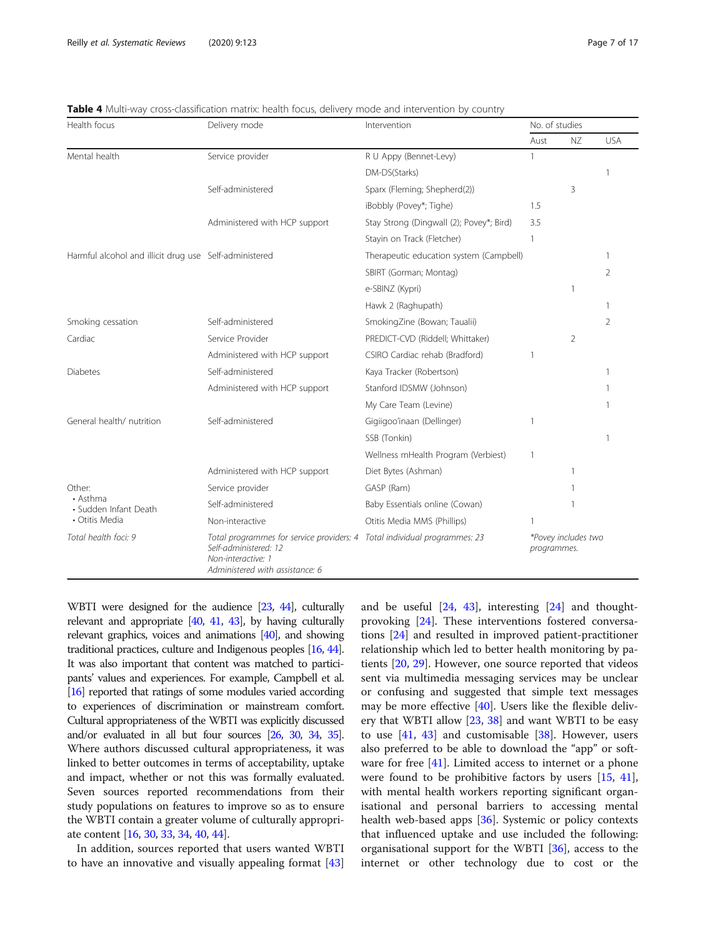| Health focus                                           | Delivery mode                                                                                                                                               | Intervention                             | No. of studies |                     |              |
|--------------------------------------------------------|-------------------------------------------------------------------------------------------------------------------------------------------------------------|------------------------------------------|----------------|---------------------|--------------|
|                                                        |                                                                                                                                                             |                                          | Aust           | <b>NZ</b>           | <b>USA</b>   |
| Mental health                                          | Service provider                                                                                                                                            | R U Appy (Bennet-Levy)                   | $\mathbf{1}$   |                     |              |
|                                                        |                                                                                                                                                             | DM-DS(Starks)                            |                |                     | $\mathbf{1}$ |
|                                                        | Self-administered                                                                                                                                           | Sparx (Fleming; Shepherd(2))             |                | 3                   |              |
|                                                        |                                                                                                                                                             | iBobbly (Povey*; Tighe)                  | 1.5            |                     |              |
|                                                        | Administered with HCP support                                                                                                                               | Stay Strong (Dingwall (2); Povey*; Bird) | 3.5            |                     |              |
|                                                        |                                                                                                                                                             | Stayin on Track (Fletcher)               | 1              |                     |              |
| Harmful alcohol and illicit drug use Self-administered |                                                                                                                                                             | Therapeutic education system (Campbell)  |                |                     | 1            |
|                                                        |                                                                                                                                                             | SBIRT (Gorman; Montag)                   |                |                     | 2            |
|                                                        |                                                                                                                                                             | e-SBINZ (Kypri)                          |                | 1                   |              |
|                                                        |                                                                                                                                                             | Hawk 2 (Raghupath)                       |                |                     | $\mathbf{1}$ |
| Smoking cessation                                      | Self-administered                                                                                                                                           | SmokingZine (Bowan; Taualii)             |                |                     | 2            |
| Cardiac                                                | Service Provider                                                                                                                                            | PREDICT-CVD (Riddell; Whittaker)         |                | 2                   |              |
|                                                        | Administered with HCP support                                                                                                                               | CSIRO Cardiac rehab (Bradford)           | 1              |                     |              |
| <b>Diabetes</b>                                        | Self-administered                                                                                                                                           | Kaya Tracker (Robertson)                 |                |                     | $\mathbf{1}$ |
|                                                        | Administered with HCP support                                                                                                                               | Stanford IDSMW (Johnson)                 |                |                     | -1           |
|                                                        |                                                                                                                                                             | My Care Team (Levine)                    |                |                     |              |
| General health/ nutrition                              | Self-administered                                                                                                                                           | Gigiigoo'inaan (Dellinger)               |                |                     |              |
|                                                        |                                                                                                                                                             | SSB (Tonkin)                             |                |                     | $\mathbf{1}$ |
|                                                        |                                                                                                                                                             | Wellness mHealth Program (Verbiest)      | 1              |                     |              |
|                                                        | Administered with HCP support                                                                                                                               | Diet Bytes (Ashman)                      |                |                     |              |
| Other:                                                 | Service provider                                                                                                                                            | GASP (Ram)                               |                |                     |              |
| • Asthma<br>• Sudden Infant Death                      | Self-administered                                                                                                                                           | Baby Essentials online (Cowan)           |                |                     |              |
| • Otitis Media                                         | Non-interactive                                                                                                                                             | Otitis Media MMS (Phillips)              |                |                     |              |
| Total health foci: 9                                   | Total programmes for service providers: 4 Total individual programmes: 23<br>Self-administered: 12<br>Non-interactive: 1<br>Administered with assistance: 6 |                                          | programmes.    | *Povey includes two |              |

<span id="page-6-0"></span>Table 4 Multi-way cross-classification matrix: health focus, delivery mode and intervention by country

WBTI were designed for the audience [\[23,](#page-15-0) [44](#page-15-0)], culturally relevant and appropriate [[40,](#page-15-0) [41,](#page-15-0) [43](#page-15-0)], by having culturally relevant graphics, voices and animations [\[40\]](#page-15-0), and showing traditional practices, culture and Indigenous peoples [\[16,](#page-15-0) [44\]](#page-15-0). It was also important that content was matched to participants' values and experiences. For example, Campbell et al. [[16\]](#page-15-0) reported that ratings of some modules varied according to experiences of discrimination or mainstream comfort. Cultural appropriateness of the WBTI was explicitly discussed and/or evaluated in all but four sources [\[26](#page-15-0), [30](#page-15-0), [34](#page-15-0), [35\]](#page-15-0). Where authors discussed cultural appropriateness, it was linked to better outcomes in terms of acceptability, uptake and impact, whether or not this was formally evaluated. Seven sources reported recommendations from their study populations on features to improve so as to ensure the WBTI contain a greater volume of culturally appropriate content [\[16,](#page-15-0) [30](#page-15-0), [33,](#page-15-0) [34,](#page-15-0) [40](#page-15-0), [44\]](#page-15-0).

In addition, sources reported that users wanted WBTI to have an innovative and visually appealing format [[43](#page-15-0)]

and be useful [\[24](#page-15-0), [43\]](#page-15-0), interesting [[24](#page-15-0)] and thoughtprovoking [[24\]](#page-15-0). These interventions fostered conversations [[24\]](#page-15-0) and resulted in improved patient-practitioner relationship which led to better health monitoring by patients [\[20](#page-15-0), [29](#page-15-0)]. However, one source reported that videos sent via multimedia messaging services may be unclear or confusing and suggested that simple text messages may be more effective [\[40](#page-15-0)]. Users like the flexible delivery that WBTI allow [\[23,](#page-15-0) [38](#page-15-0)] and want WBTI to be easy to use  $[41, 43]$  $[41, 43]$  $[41, 43]$  and customisable  $[38]$  $[38]$ . However, users also preferred to be able to download the "app" or soft-ware for free [\[41](#page-15-0)]. Limited access to internet or a phone were found to be prohibitive factors by users [[15,](#page-15-0) [41](#page-15-0)], with mental health workers reporting significant organisational and personal barriers to accessing mental health web-based apps [[36](#page-15-0)]. Systemic or policy contexts that influenced uptake and use included the following: organisational support for the WBTI [[36\]](#page-15-0), access to the internet or other technology due to cost or the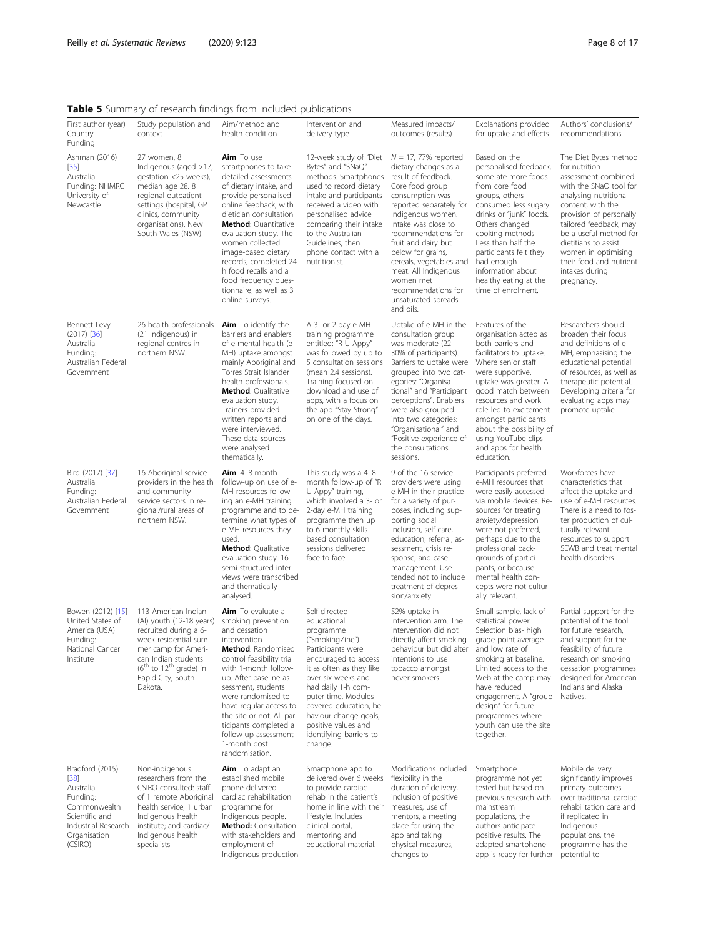<span id="page-7-0"></span>

|                                                                                                                                        | <b>rapie 3</b> Juriniary of research imaings non-included publications                                                                                                                                        |                                                                                                                                                                                                                                                                                                                                                                                            |                                                                                                                                                                                                                                                                                                                           |                                                                                                                                                                                                                                                                                                                                                                                   |                                                                                                                                                                                                                                                                                                                                                   |                                                                                                                                                                                                                                                                                                                                |
|----------------------------------------------------------------------------------------------------------------------------------------|---------------------------------------------------------------------------------------------------------------------------------------------------------------------------------------------------------------|--------------------------------------------------------------------------------------------------------------------------------------------------------------------------------------------------------------------------------------------------------------------------------------------------------------------------------------------------------------------------------------------|---------------------------------------------------------------------------------------------------------------------------------------------------------------------------------------------------------------------------------------------------------------------------------------------------------------------------|-----------------------------------------------------------------------------------------------------------------------------------------------------------------------------------------------------------------------------------------------------------------------------------------------------------------------------------------------------------------------------------|---------------------------------------------------------------------------------------------------------------------------------------------------------------------------------------------------------------------------------------------------------------------------------------------------------------------------------------------------|--------------------------------------------------------------------------------------------------------------------------------------------------------------------------------------------------------------------------------------------------------------------------------------------------------------------------------|
| First author (year)<br>Country<br>Funding                                                                                              | Study population and<br>context                                                                                                                                                                               | Aim/method and<br>health condition                                                                                                                                                                                                                                                                                                                                                         | Intervention and<br>delivery type                                                                                                                                                                                                                                                                                         | Measured impacts/<br>outcomes (results)                                                                                                                                                                                                                                                                                                                                           | Explanations provided<br>for uptake and effects                                                                                                                                                                                                                                                                                                   | Authors' conclusions/<br>recommendations                                                                                                                                                                                                                                                                                       |
| Ashman (2016)<br>$[35]$<br>Australia<br>Funding: NHMRC<br>University of<br>Newcastle                                                   | 27 women, 8<br>Indigenous (aged >17,<br>gestation <25 weeks),<br>median age 28.8<br>regional outpatient<br>settings (hospital, GP<br>clinics, community<br>organisations), New<br>South Wales (NSW)           | Aim: To use<br>smartphones to take<br>detailed assessments<br>of dietary intake, and<br>provide personalised<br>online feedback, with<br>dietician consultation.<br><b>Method: Quantitative</b><br>evaluation study. The<br>women collected<br>image-based dietary<br>records, completed 24-<br>h food recalls and a<br>food frequency ques-<br>tionnaire, as well as 3<br>online surveys. | 12-week study of "Diet<br>Bytes" and "SNaQ"<br>methods. Smartphones<br>used to record dietary<br>intake and participants<br>received a video with<br>personalised advice<br>comparing their intake<br>to the Australian<br>Guidelines, then<br>phone contact with a<br>nutritionist.                                      | $N = 17$ , 77% reported<br>dietary changes as a<br>result of feedback.<br>Core food group<br>consumption was<br>reported separately for<br>Indigenous women.<br>Intake was close to<br>recommendations for<br>fruit and dairy but<br>below for grains,<br>cereals, vegetables and<br>meat. All Indigenous<br>women met<br>recommendations for<br>unsaturated spreads<br>and oils. | Based on the<br>personalised feedback,<br>some ate more foods<br>from core food<br>groups, others<br>consumed less sugary<br>drinks or "junk" foods.<br>Others changed<br>cooking methods<br>Less than half the<br>participants felt they<br>had enough<br>information about<br>healthy eating at the<br>time of enrolment.                       | The Diet Bytes method<br>for nutrition<br>assessment combined<br>with the SNaQ tool for<br>analysing nutritional<br>content, with the<br>provision of personally<br>tailored feedback, may<br>be a useful method for<br>dietitians to assist<br>women in optimising<br>their food and nutrient<br>intakes during<br>pregnancy. |
| Bennett-Levy<br>$(2017)$ [36]<br>Australia<br>Funding:<br>Australian Federal<br>Government                                             | 26 health professionals<br>(21 Indigenous) in<br>regional centres in<br>northern NSW.                                                                                                                         | <b>Aim:</b> To identify the<br>barriers and enablers<br>of e-mental health (e-<br>MH) uptake amongst<br>mainly Aboriginal and<br>Torres Strait Islander<br>health professionals.<br>Method: Qualitative<br>evaluation study.<br>Trainers provided<br>written reports and<br>were interviewed.<br>These data sources<br>were analysed<br>thematically.                                      | A 3- or 2-day e-MH<br>training programme<br>entitled: "R U Appy"<br>was followed by up to<br>5 consultation sessions<br>(mean 2.4 sessions).<br>Training focused on<br>download and use of<br>apps, with a focus on<br>the app "Stay Strong"<br>on one of the days.                                                       | Uptake of e-MH in the<br>consultation group<br>was moderate (22-<br>30% of participants).<br>Barriers to uptake were<br>grouped into two cat-<br>egories: "Organisa-<br>tional" and "Participant<br>perceptions". Enablers<br>were also grouped<br>into two categories:<br>"Organisational" and<br>"Positive experience of<br>the consultations<br>sessions.                      | Features of the<br>organisation acted as<br>both barriers and<br>facilitators to uptake.<br>Where senior staff<br>were supportive,<br>uptake was greater. A<br>good match between<br>resources and work<br>role led to excitement<br>amongst participants<br>about the possibility of<br>using YouTube clips<br>and apps for health<br>education. | Researchers should<br>broaden their focus<br>and definitions of e-<br>MH, emphasising the<br>educational potential<br>of resources, as well as<br>therapeutic potential.<br>Developing criteria for<br>evaluating apps may<br>promote uptake.                                                                                  |
| Bird (2017) [37]<br>Australia<br>Funding:<br>Australian Federal<br>Government                                                          | 16 Aboriginal service<br>providers in the health<br>and community-<br>service sectors in re-<br>gional/rural areas of<br>northern NSW.                                                                        | Aim: 4-8-month<br>follow-up on use of e-<br>MH resources follow-<br>ing an e-MH training<br>programme and to de-<br>termine what types of<br>e-MH resources they<br>used.<br>Method: Qualitative<br>evaluation study. 16<br>semi-structured inter-<br>views were transcribed<br>and thematically<br>analysed.                                                                              | This study was a 4-8-<br>month follow-up of "R<br>U Appy" training,<br>which involved a 3- or<br>2-day e-MH training<br>programme then up<br>to 6 monthly skills-<br>based consultation<br>sessions delivered<br>face-to-face.                                                                                            | 9 of the 16 service<br>providers were using<br>e-MH in their practice<br>for a variety of pur-<br>poses, including sup-<br>porting social<br>inclusion, self-care,<br>education, referral, as-<br>sessment, crisis re-<br>sponse, and case<br>management. Use<br>tended not to include<br>treatment of depres-<br>sion/anxiety.                                                   | Participants preferred<br>e-MH resources that<br>were easily accessed<br>via mobile devices. Re-<br>sources for treating<br>anxiety/depression<br>were not preferred,<br>perhaps due to the<br>professional back-<br>grounds of partici-<br>pants, or because<br>mental health con-<br>cepts were not cultur-<br>ally relevant.                   | Workforces have<br>characteristics that<br>affect the uptake and<br>use of e-MH resources.<br>There is a need to fos-<br>ter production of cul-<br>turally relevant<br>resources to support<br>SEWB and treat mental<br>health disorders                                                                                       |
| Bowen (2012) [15]<br>United States of<br>America (USA)<br>Funding:<br>National Cancer<br>Institute                                     | 113 American Indian<br>(Al) youth (12-18 years)<br>recruited during a 6-<br>week residential sum-<br>mer camp for Ameri-<br>can Indian students<br>$(6th$ to $12th$ grade) in<br>Rapid City, South<br>Dakota. | <b>Aim:</b> To evaluate a<br>smoking prevention<br>and cessation<br>intervention<br>Method: Randomised<br>control feasibility trial<br>with 1-month follow-<br>up. After baseline as-<br>sessment, students<br>were randomised to<br>have regular access to<br>the site or not. All par-<br>ticipants completed a<br>follow-up assessment<br>1-month post<br>randomisation.                | Self-directed<br>educational<br>programme<br>("SmokingZine").<br>Participants were<br>encouraged to access<br>it as often as they like<br>over six weeks and<br>had daily 1-h com-<br>puter time. Modules<br>covered education, be-<br>haviour change goals,<br>positive values and<br>identifying barriers to<br>change. | 52% uptake in<br>intervention arm. The<br>intervention did not<br>directly affect smoking<br>behaviour but did alter and low rate of<br>intentions to use<br>tobacco amongst<br>never-smokers.                                                                                                                                                                                    | Small sample, lack of<br>statistical power.<br>Selection bias-high<br>grade point average<br>smoking at baseline.<br>Limited access to the<br>Web at the camp may<br>have reduced<br>engagement. A "group<br>design" for future<br>programmes where<br>youth can use the site<br>together.                                                        | Partial support for the<br>potential of the tool<br>for future research,<br>and support for the<br>feasibility of future<br>research on smoking<br>cessation programmes<br>designed for American<br>Indians and Alaska<br>Natives.                                                                                             |
| Bradford (2015)<br>$[38]$<br>Australia<br>Funding:<br>Commonwealth<br>Scientific and<br>Industrial Research<br>Organisation<br>(CSIRO) | Non-indigenous<br>researchers from the<br>CSIRO consulted: staff<br>of 1 remote Aboriginal<br>health service; 1 urban<br>Indigenous health<br>institute; and cardiac/<br>Indigenous health<br>specialists.    | <b>Aim</b> : To adapt an<br>established mobile<br>phone delivered<br>cardiac rehabilitation<br>programme for<br>Indigenous people.<br><b>Method:</b> Consultation<br>with stakeholders and<br>employment of<br>Indigenous production                                                                                                                                                       | Smartphone app to<br>delivered over 6 weeks<br>to provide cardiac<br>rehab in the patient's<br>home in line with their<br>lifestyle. Includes<br>clinical portal,<br>mentoring and<br>educational material.                                                                                                               | Modifications included<br>flexibility in the<br>duration of delivery,<br>inclusion of positive<br>measures, use of<br>mentors, a meeting<br>place for using the<br>app and taking<br>physical measures,<br>changes to                                                                                                                                                             | Smartphone<br>programme not yet<br>tested but based on<br>previous research with<br>mainstream<br>populations, the<br>authors anticipate<br>positive results. The<br>adapted smartphone<br>app is ready for further                                                                                                                               | Mobile delivery<br>significantly improves<br>primary outcomes<br>over traditional cardiac<br>rehabilitation care and<br>if replicated in<br>Indigenous<br>populations, the<br>programme has the<br>potential to                                                                                                                |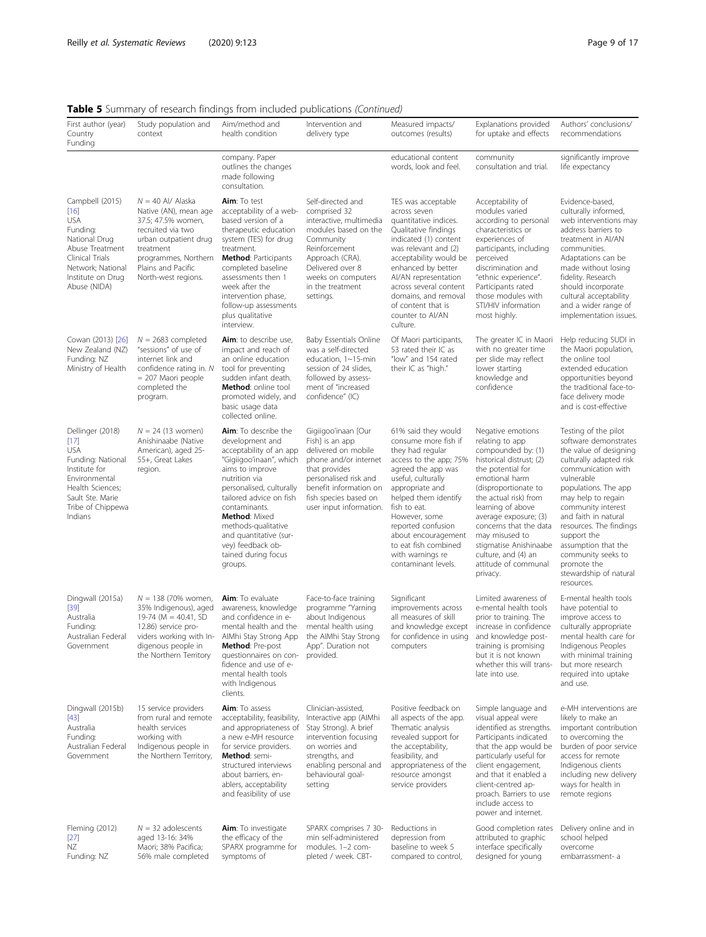|                                                                                                                                                                         | <b>The B</b> Barrimary of research miamigs norm included publications (commuta)                                                                                                                    |                                                                                                                                                                                                                                                                                                                                    |                                                                                                                                                                                                                  |                                                                                                                                                                                                                                                                                                                                   |                                                                                                                                                                                                                                                                                                                                                               |                                                                                                                                                                                                                                                                                                                                                                                  |
|-------------------------------------------------------------------------------------------------------------------------------------------------------------------------|----------------------------------------------------------------------------------------------------------------------------------------------------------------------------------------------------|------------------------------------------------------------------------------------------------------------------------------------------------------------------------------------------------------------------------------------------------------------------------------------------------------------------------------------|------------------------------------------------------------------------------------------------------------------------------------------------------------------------------------------------------------------|-----------------------------------------------------------------------------------------------------------------------------------------------------------------------------------------------------------------------------------------------------------------------------------------------------------------------------------|---------------------------------------------------------------------------------------------------------------------------------------------------------------------------------------------------------------------------------------------------------------------------------------------------------------------------------------------------------------|----------------------------------------------------------------------------------------------------------------------------------------------------------------------------------------------------------------------------------------------------------------------------------------------------------------------------------------------------------------------------------|
| First author (year)<br>Country<br>Funding                                                                                                                               | Study population and<br>context                                                                                                                                                                    | Aim/method and<br>health condition                                                                                                                                                                                                                                                                                                 | Intervention and<br>delivery type                                                                                                                                                                                | Measured impacts/<br>outcomes (results)                                                                                                                                                                                                                                                                                           | Explanations provided<br>for uptake and effects                                                                                                                                                                                                                                                                                                               | Authors' conclusions/<br>recommendations                                                                                                                                                                                                                                                                                                                                         |
|                                                                                                                                                                         |                                                                                                                                                                                                    | company. Paper<br>outlines the changes<br>made following<br>consultation.                                                                                                                                                                                                                                                          |                                                                                                                                                                                                                  | educational content<br>words, look and feel.                                                                                                                                                                                                                                                                                      | community<br>consultation and trial.                                                                                                                                                                                                                                                                                                                          | significantly improve<br>life expectancy                                                                                                                                                                                                                                                                                                                                         |
| Campbell (2015)<br>$[16]$<br><b>USA</b><br>Funding:<br>National Drug<br>Abuse Treatment<br>Clinical Trials<br>Network; National<br>Institute on Drug<br>Abuse (NIDA)    | $N = 40$ Al/ Alaska<br>Native (AN), mean age<br>37.5; 47.5% women,<br>recruited via two<br>urban outpatient drug<br>treatment<br>programmes, Northern<br>Plains and Pacific<br>North-west regions. | Aim: To test<br>acceptability of a web-<br>based version of a<br>therapeutic education<br>system (TES) for drug<br>treatment.<br>Method: Participants<br>completed baseline<br>assessments then 1<br>week after the<br>intervention phase,<br>follow-up assessments<br>plus qualitative<br>interview.                              | Self-directed and<br>comprised 32<br>interactive, multimedia<br>modules based on the<br>Community<br>Reinforcement<br>Approach (CRA).<br>Delivered over 8<br>weeks on computers<br>in the treatment<br>settings. | TES was acceptable<br>across seven<br>quantitative indices.<br>Qualitative findings<br>indicated (1) content<br>was relevant and (2)<br>acceptability would be<br>enhanced by better<br>Al/AN representation<br>across several content<br>domains, and removal<br>of content that is<br>counter to Al/AN<br>culture.              | Acceptability of<br>modules varied<br>according to personal<br>characteristics or<br>experiences of<br>participants, including<br>perceived<br>discrimination and<br>"ethnic experience".<br>Participants rated<br>those modules with<br>STI/HIV information<br>most highly.                                                                                  | Evidence-based,<br>culturally informed,<br>web interventions may<br>address barriers to<br>treatment in Al/AN<br>communities.<br>Adaptations can be<br>made without losing<br>fidelity. Research<br>should incorporate<br>cultural acceptability<br>and a wider range of<br>implementation issues.                                                                               |
| Cowan (2013) [26]<br>New Zealand (NZ)<br>Funding: NZ<br>Ministry of Health                                                                                              | $N = 2683$ completed<br>"sessions" of use of<br>internet link and<br>confidence rating in. N<br>= 207 Maori people<br>completed the<br>program.                                                    | Aim: to describe use,<br>impact and reach of<br>an online education<br>tool for preventing<br>sudden infant death.<br>Method: online tool<br>promoted widely, and<br>basic usage data<br>collected online.                                                                                                                         | Baby Essentials Online<br>was a self-directed<br>education, 1~15-min<br>session of 24 slides,<br>followed by assess-<br>ment of "increased<br>confidence" (IC)                                                   | Of Maori participants,<br>53 rated their IC as<br>"low" and 154 rated<br>their IC as "high."                                                                                                                                                                                                                                      | The greater IC in Maori<br>with no greater time<br>per slide may reflect<br>lower starting<br>knowledge and<br>confidence                                                                                                                                                                                                                                     | Help reducing SUDI in<br>the Maori population,<br>the online tool<br>extended education<br>opportunities beyond<br>the traditional face-to-<br>face delivery mode<br>and is cost-effective                                                                                                                                                                                       |
| Dellinger (2018)<br>$[17]$<br><b>USA</b><br>Funding: National<br>Institute for<br>Environmental<br>Health Sciences;<br>Sault Ste. Marie<br>Tribe of Chippewa<br>Indians | $N = 24$ (13 women)<br>Anishinaabe (Native<br>American), aged 25-<br>55+, Great Lakes<br>region.                                                                                                   | Aim: To describe the<br>development and<br>acceptability of an app<br>"Gigiigoo'inaan", which<br>aims to improve<br>nutrition via<br>personalised, culturally<br>tailored advice on fish<br>contaminants.<br>Method: Mixed<br>methods-qualitative<br>and quantitative (sur-<br>vey) feedback ob-<br>tained during focus<br>groups. | Gigiigoo'inaan [Our<br>Fish] is an app<br>delivered on mobile<br>phone and/or internet<br>that provides<br>personalised risk and<br>benefit information on<br>fish species based on<br>user input information.   | 61% said they would<br>consume more fish if<br>they had regular<br>access to the app; 75%<br>agreed the app was<br>useful, culturally<br>appropriate and<br>helped them identify<br>fish to eat.<br>However, some<br>reported confusion<br>about encouragement<br>to eat fish combined<br>with warnings re<br>contaminant levels. | Negative emotions<br>relating to app<br>compounded by: (1)<br>historical distrust; (2)<br>the potential for<br>emotional harm<br>(disproportionate to<br>the actual risk) from<br>learning of above<br>average exposure; (3)<br>concerns that the data<br>may misused to<br>stigmatise Anishinaabe<br>culture, and (4) an<br>attitude of communal<br>privacy. | Testing of the pilot<br>software demonstrates<br>the value of designing<br>culturally adapted risk<br>communication with<br>vulnerable<br>populations. The app<br>may help to regain<br>community interest<br>and faith in natural<br>resources. The findings<br>support the<br>assumption that the<br>community seeks to<br>promote the<br>stewardship of natural<br>resources. |
| Dingwall (2015a)<br>$[39]$<br>Australia<br>Funding:<br>Australian Federal<br>Government                                                                                 | $N = 138$ (70% women,<br>35% Indigenous), aged<br>19-74 ( $M = 40.41$ , SD<br>12.86) service pro-<br>viders working with In-<br>digenous people in<br>the Northern Territory                       | <b>Aim:</b> To evaluate<br>awareness, knowledge<br>and confidence in e-<br>mental health and the<br>AlMhi Stay Strong App<br><b>Method:</b> Pre-post<br>questionnaires on con-<br>fidence and use of e-<br>mental health tools<br>with Indigenous<br>clients.                                                                      | Face-to-face training<br>programme "Yarning<br>about Indigenous<br>mental health using<br>the AIMhi Stay Strong<br>App". Duration not<br>provided.                                                               | Significant<br>improvements across<br>all measures of skill<br>and knowledge except<br>for confidence in using<br>computers                                                                                                                                                                                                       | Limited awareness of<br>e-mental health tools<br>prior to training. The<br>increase in confidence<br>and knowledge post-<br>training is promising<br>but it is not known<br>whether this will trans-<br>late into use.                                                                                                                                        | E-mental health tools<br>have potential to<br>improve access to<br>culturally appropriate<br>mental health care for<br>Indigenous Peoples<br>with minimal training<br>but more research<br>required into uptake<br>and use.                                                                                                                                                      |
| Dingwall (2015b)<br>$[43]$<br>Australia<br>Funding:<br>Australian Federal<br>Government                                                                                 | 15 service providers<br>from rural and remote<br>health services<br>working with<br>Indigenous people in<br>the Northern Territory,                                                                | <b>Aim:</b> To assess<br>acceptability, feasibility,<br>and appropriateness of<br>a new e-MH resource<br>for service providers.<br>Method: semi-<br>structured interviews<br>about barriers, en-<br>ablers, acceptability<br>and feasibility of use                                                                                | Clinician-assisted.<br>Interactive app (AlMhi<br>Stay Strong). A brief<br>intervention focusing<br>on worries and<br>strengths, and<br>enabling personal and<br>behavioural goal-<br>setting                     | Positive feedback on<br>all aspects of the app.<br>Thematic analysis<br>revealed support for<br>the acceptability,<br>feasibility, and<br>appropriateness of the<br>resource amongst<br>service providers                                                                                                                         | Simple language and<br>visual appeal were<br>identified as strengths.<br>Participants indicated<br>that the app would be<br>particularly useful for<br>client engagement,<br>and that it enabled a<br>client-centred ap-<br>proach. Barriers to use<br>include access to<br>power and internet.                                                               | e-MH interventions are<br>likely to make an<br>important contribution<br>to overcoming the<br>burden of poor service<br>access for remote<br>Indigenous clients<br>including new delivery<br>ways for health in<br>remote regions                                                                                                                                                |
| Fleming (2012)<br>$[27]$<br>NZ<br>Funding: NZ                                                                                                                           | $N = 32$ adolescents<br>aged 13-16: 34%<br>Maori; 38% Pacifica;<br>56% male completed                                                                                                              | <b>Aim:</b> To investigate<br>the efficacy of the<br>SPARX programme for<br>symptoms of                                                                                                                                                                                                                                            | SPARX comprises 7 30-<br>min self-administered<br>modules. 1-2 com-<br>pleted / week. CBT-                                                                                                                       | Reductions in<br>depression from<br>baseline to week 5<br>compared to control,                                                                                                                                                                                                                                                    | Good completion rates<br>attributed to graphic<br>interface specifically<br>designed for young                                                                                                                                                                                                                                                                | Delivery online and in<br>school helped<br>overcome<br>embarrassment-a                                                                                                                                                                                                                                                                                                           |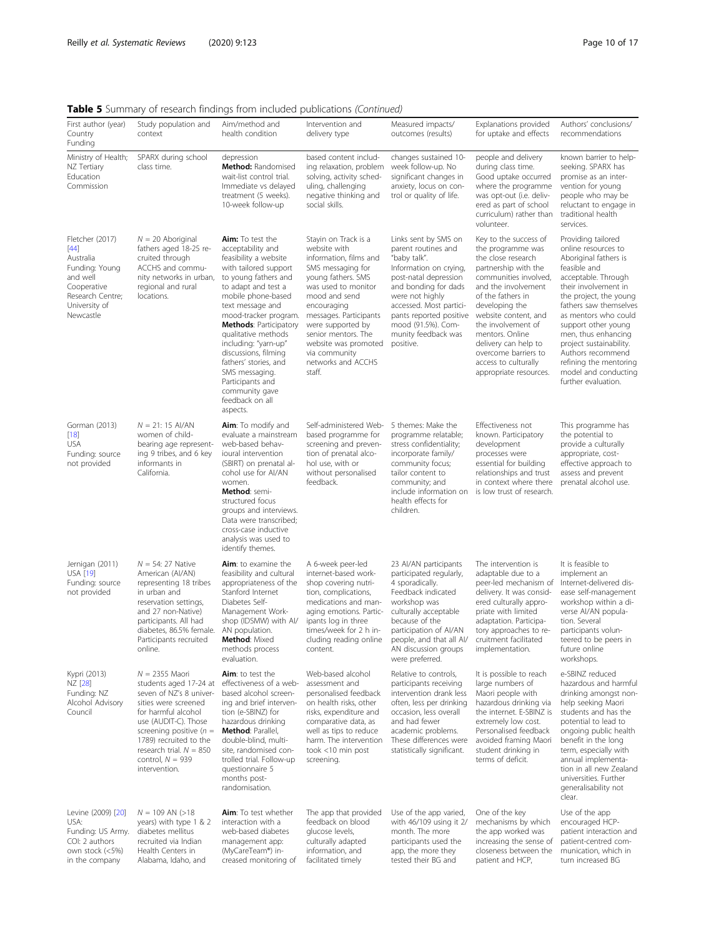|                                                                                                                                       | <b>TWAIS</b> Sammary or research imaings non-interacted papieations (continued)                                                                                                                                                                                          |                                                                                                                                                                                                                                                                                                                                                                                                                                          |                                                                                                                                                                                                                                                                                                                 |                                                                                                                                                                                                                                                                           |                                                                                                                                                                                                                                                                                                                                                    |                                                                                                                                                                                                                                                                                                                                                                                      |
|---------------------------------------------------------------------------------------------------------------------------------------|--------------------------------------------------------------------------------------------------------------------------------------------------------------------------------------------------------------------------------------------------------------------------|------------------------------------------------------------------------------------------------------------------------------------------------------------------------------------------------------------------------------------------------------------------------------------------------------------------------------------------------------------------------------------------------------------------------------------------|-----------------------------------------------------------------------------------------------------------------------------------------------------------------------------------------------------------------------------------------------------------------------------------------------------------------|---------------------------------------------------------------------------------------------------------------------------------------------------------------------------------------------------------------------------------------------------------------------------|----------------------------------------------------------------------------------------------------------------------------------------------------------------------------------------------------------------------------------------------------------------------------------------------------------------------------------------------------|--------------------------------------------------------------------------------------------------------------------------------------------------------------------------------------------------------------------------------------------------------------------------------------------------------------------------------------------------------------------------------------|
| First author (year)<br>Country<br>Funding                                                                                             | Study population and<br>context                                                                                                                                                                                                                                          | Aim/method and<br>health condition                                                                                                                                                                                                                                                                                                                                                                                                       | Intervention and<br>delivery type                                                                                                                                                                                                                                                                               | Measured impacts/<br>outcomes (results)                                                                                                                                                                                                                                   | Explanations provided<br>for uptake and effects                                                                                                                                                                                                                                                                                                    | Authors' conclusions/<br>recommendations                                                                                                                                                                                                                                                                                                                                             |
| Ministry of Health;<br>NZ Tertiary<br>Education<br>Commission                                                                         | SPARX during school<br>class time.                                                                                                                                                                                                                                       | depression<br>Method: Randomised<br>wait-list control trial.<br>Immediate vs delayed<br>treatment (5 weeks).<br>10-week follow-up                                                                                                                                                                                                                                                                                                        | based content includ-<br>ing relaxation, problem<br>solving, activity sched-<br>uling, challenging<br>negative thinking and<br>social skills.                                                                                                                                                                   | changes sustained 10-<br>week follow-up. No<br>significant changes in<br>anxiety, locus on con-<br>trol or quality of life.                                                                                                                                               | people and delivery<br>during class time.<br>Good uptake occurred<br>where the programme<br>was opt-out (i.e. deliv-<br>ered as part of school<br>curriculum) rather than<br>volunteer.                                                                                                                                                            | known barrier to help-<br>seeking. SPARX has<br>promise as an inter-<br>vention for young<br>people who may be<br>reluctant to engage in<br>traditional health<br>services.                                                                                                                                                                                                          |
| Fletcher (2017)<br>$[44]$<br>Australia<br>Funding: Young<br>and well<br>Cooperative<br>Research Centre;<br>University of<br>Newcastle | $N = 20$ Aboriginal<br>fathers aged 18-25 re-<br>cruited through<br>ACCHS and commu-<br>nity networks in urban,<br>regional and rural<br>locations.                                                                                                                      | <b>Aim:</b> To test the<br>acceptability and<br>feasibility a website<br>with tailored support<br>to young fathers and<br>to adapt and test a<br>mobile phone-based<br>text message and<br>mood-tracker program.<br><b>Methods: Participatory</b><br>qualitative methods<br>including: "yarn-up"<br>discussions, filming<br>fathers' stories, and<br>SMS messaging.<br>Participants and<br>community gave<br>feedback on all<br>aspects. | Stayin on Track is a<br>website with<br>information, films and<br>SMS messaging for<br>young fathers. SMS<br>was used to monitor<br>mood and send<br>encouraging<br>messages. Participants<br>were supported by<br>senior mentors. The<br>website was promoted<br>via community<br>networks and ACCHS<br>staff. | Links sent by SMS on<br>parent routines and<br>"baby talk".<br>Information on crying,<br>post-natal depression<br>and bonding for dads<br>were not highly<br>accessed. Most partici-<br>pants reported positive<br>mood (91.5%). Com-<br>munity feedback was<br>positive. | Key to the success of<br>the programme was<br>the close research<br>partnership with the<br>communities involved,<br>and the involvement<br>of the fathers in<br>developing the<br>website content, and<br>the involvement of<br>mentors. Online<br>delivery can help to<br>overcome barriers to<br>access to culturally<br>appropriate resources. | Providing tailored<br>online resources to<br>Aboriginal fathers is<br>feasible and<br>acceptable. Through<br>their involvement in<br>the project, the young<br>fathers saw themselves<br>as mentors who could<br>support other young<br>men, thus enhancing<br>project sustainability.<br>Authors recommend<br>refining the mentoring<br>model and conducting<br>further evaluation. |
| Gorman (2013)<br>$[18]$<br><b>USA</b><br>Funding: source<br>not provided                                                              | $N = 21:15$ Al/AN<br>women of child-<br>bearing age represent-<br>ing 9 tribes, and 6 key<br>informants in<br>California.                                                                                                                                                | <b>Aim:</b> To modify and<br>evaluate a mainstream<br>web-based behav-<br>joural intervention<br>(SBIRT) on prenatal al-<br>cohol use for AI/AN<br>women.<br>Method: semi-<br>structured focus<br>groups and interviews.<br>Data were transcribed;<br>cross-case inductive<br>analysis was used to<br>identify themes.                                                                                                                   | Self-administered Web-<br>based programme for<br>screening and preven-<br>tion of prenatal alco-<br>hol use, with or<br>without personalised<br>feedback.                                                                                                                                                       | 5 themes: Make the<br>programme relatable;<br>stress confidentiality;<br>incorporate family/<br>community focus;<br>tailor content to<br>community; and<br>include information on<br>health effects for<br>children.                                                      | Effectiveness not<br>known. Participatory<br>development<br>processes were<br>essential for building<br>relationships and trust<br>in context where there<br>is low trust of research.                                                                                                                                                             | This programme has<br>the potential to<br>provide a culturally<br>appropriate, cost-<br>effective approach to<br>assess and prevent<br>prenatal alcohol use.                                                                                                                                                                                                                         |
| Jernigan (2011)<br><b>USA [19]</b><br>Funding: source<br>not provided                                                                 | $N = 54$ : 27 Native<br>American (Al/AN)<br>representing 18 tribes<br>in urban and<br>reservation settings,<br>and 27 non-Native)<br>participants. All had<br>diabetes, 86.5% female.<br>Participants recruited<br>online.                                               | <b>Aim:</b> to examine the<br>feasibility and cultural<br>appropriateness of the<br>Stanford Internet<br>Diabetes Self-<br>Management Work-<br>shop (IDSMW) with Al/<br>AN population.<br>Method: Mixed<br>methods process<br>evaluation.                                                                                                                                                                                                | A 6-week peer-led<br>internet-based work-<br>shop covering nutri-<br>tion, complications,<br>medications and man-<br>aging emotions. Partic-<br>ipants log in three<br>times/week for 2 h in-<br>cluding reading online<br>content.                                                                             | 23 AI/AN participants<br>participated regularly,<br>4 sporadically.<br>Feedback indicated<br>workshop was<br>culturally acceptable<br>because of the<br>participation of AI/AN<br>people, and that all Al/<br>AN discussion groups<br>were preferred.                     | The intervention is<br>adaptable due to a<br>peer-led mechanism of<br>delivery. It was consid-<br>ered culturally appro-<br>priate with limited<br>adaptation. Participa-<br>tory approaches to re-<br>cruitment facilitated<br>implementation.                                                                                                    | It is feasible to<br>implement an<br>Internet-delivered dis-<br>ease self-management<br>workshop within a di-<br>verse AI/AN popula-<br>tion. Several<br>participants volun-<br>teered to be peers in<br>future online<br>workshops.                                                                                                                                                 |
| Kypri (2013)<br>NZ [28]<br>Funding: NZ<br>Alcohol Advisory<br>Council                                                                 | $N = 2355$ Maori<br>students aged 17-24 at<br>seven of NZ's 8 univer-<br>sities were screened<br>for harmful alcohol<br>use (AUDIT-C). Those<br>screening positive ( $n =$<br>1789) recruited to the<br>research trial. $N = 850$<br>control, $N = 939$<br>intervention. | <b>Aim:</b> to test the<br>effectiveness of a web-<br>based alcohol screen-<br>ing and brief interven-<br>tion (e-SBINZ) for<br>hazardous drinking<br>Method: Parallel,<br>double-blind, multi-<br>site, randomised con-<br>trolled trial. Follow-up<br>questionnaire 5<br>months post-<br>randomisation.                                                                                                                                | Web-based alcohol<br>assessment and<br>personalised feedback<br>on health risks, other<br>risks, expenditure and<br>comparative data, as<br>well as tips to reduce<br>harm. The intervention<br>took <10 min post<br>screening.                                                                                 | Relative to controls,<br>participants receiving<br>intervention drank less<br>often, less per drinking<br>occasion, less overall<br>and had fewer<br>academic problems.<br>These differences were<br>statistically significant.                                           | It is possible to reach<br>large numbers of<br>Maori people with<br>hazardous drinking via<br>the internet. E-SBINZ is<br>extremely low cost.<br>Personalised feedback<br>avoided framing Maori<br>student drinking in<br>terms of deficit.                                                                                                        | e-SBINZ reduced<br>hazardous and harmful<br>drinking amongst non-<br>help seeking Maori<br>students and has the<br>potential to lead to<br>ongoing public health<br>benefit in the long<br>term, especially with<br>annual implementa-<br>tion in all new Zealand<br>universities. Further<br>generalisability not<br>clear.                                                         |
| Levine (2009) [20]<br>USA:<br>Funding: US Army.<br>COI: 2 authors<br>own stock (<5%)<br>in the company                                | $N = 109$ AN ( $>18$ )<br>years) with type 1 & 2<br>diabetes mellitus<br>recruited via Indian<br>Health Centers in<br>Alabama, Idaho, and                                                                                                                                | <b>Aim:</b> To test whether<br>interaction with a<br>web-based diabetes<br>management app:<br>(MyCareTeam®) in-<br>creased monitoring of                                                                                                                                                                                                                                                                                                 | The app that provided<br>feedback on blood<br>glucose levels,<br>culturally adapted<br>information, and<br>facilitated timely                                                                                                                                                                                   | Use of the app varied,<br>with 46/109 using it 2/<br>month. The more<br>participants used the<br>app, the more they<br>tested their BG and                                                                                                                                | One of the key<br>mechanisms by which<br>the app worked was<br>increasing the sense of<br>closeness between the<br>patient and HCP,                                                                                                                                                                                                                | Use of the app<br>encouraged HCP-<br>patient interaction and<br>patient-centred com-<br>munication, which in<br>turn increased BG                                                                                                                                                                                                                                                    |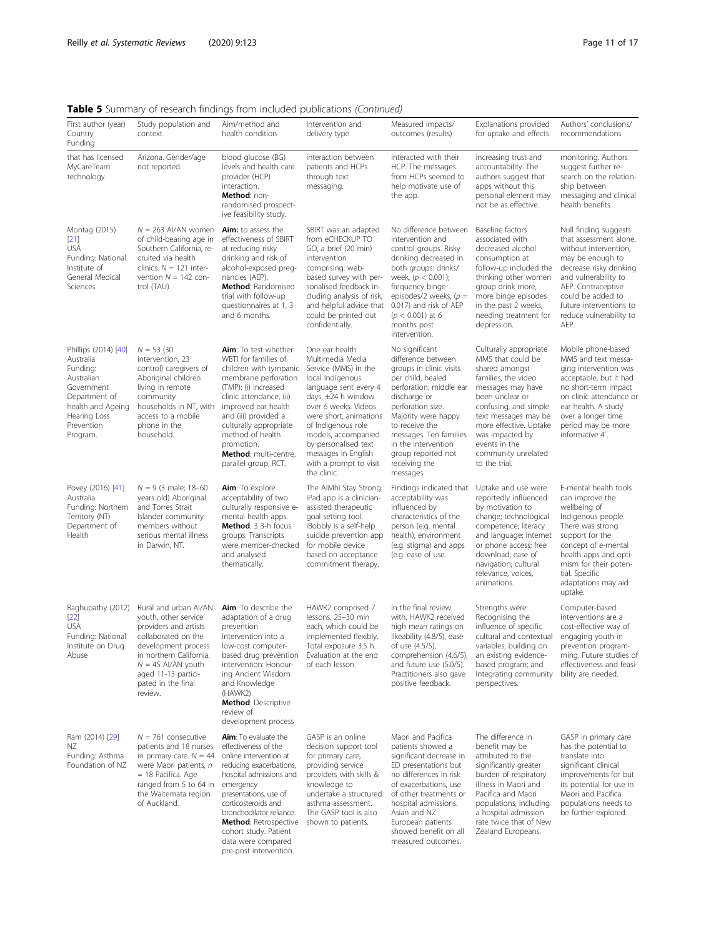| First author (year)<br>Country<br>Funding                                                                                                                 | Study population and<br>context                                                                                                                                                                                                 | Aim/method and<br>health condition                                                                                                                                                                                                                                                                                             | Intervention and<br>delivery type                                                                                                                                                                                                                                                                                    | Measured impacts/<br>outcomes (results)                                                                                                                                                                                                                                                            | Explanations provided<br>for uptake and effects                                                                                                                                                                                                                                     | Authors' conclusions/<br>recommendations                                                                                                                                                                                                                 |
|-----------------------------------------------------------------------------------------------------------------------------------------------------------|---------------------------------------------------------------------------------------------------------------------------------------------------------------------------------------------------------------------------------|--------------------------------------------------------------------------------------------------------------------------------------------------------------------------------------------------------------------------------------------------------------------------------------------------------------------------------|----------------------------------------------------------------------------------------------------------------------------------------------------------------------------------------------------------------------------------------------------------------------------------------------------------------------|----------------------------------------------------------------------------------------------------------------------------------------------------------------------------------------------------------------------------------------------------------------------------------------------------|-------------------------------------------------------------------------------------------------------------------------------------------------------------------------------------------------------------------------------------------------------------------------------------|----------------------------------------------------------------------------------------------------------------------------------------------------------------------------------------------------------------------------------------------------------|
| that has licensed<br>MyCareTeam<br>technology.                                                                                                            | Arizona. Gender/age<br>not reported.                                                                                                                                                                                            | blood glucose (BG)<br>levels and health care<br>provider (HCP)<br>interaction.<br>Method: non-<br>randomised prospect-<br>ive feasibility study.                                                                                                                                                                               | interaction between<br>patients and HCPs<br>through text<br>messaging.                                                                                                                                                                                                                                               | interacted with their<br>HCP. The messages<br>from HCPs seemed to<br>help motivate use of<br>the app.                                                                                                                                                                                              | increasing trust and<br>accountability. The<br>authors suggest that<br>apps without this<br>personal element may<br>not be as effective.                                                                                                                                            | monitoring. Authors<br>suggest further re-<br>search on the relation-<br>ship between<br>messaging and clinical<br>health benefits.                                                                                                                      |
| Montag (2015)<br>[21]<br><b>USA</b><br>Funding: National<br>Institute of<br>General Medical<br>Sciences                                                   | $N = 263$ Al/AN women<br>of child-bearing age in<br>Southern California, re-<br>cruited via health<br>clinics. $N = 121$ inter-<br>vention $N = 142$ con-<br>trol (TAU)                                                         | <b>Aim:</b> to assess the<br>effectiveness of SBIRT<br>at reducing risky<br>drinking and risk of<br>alcohol-exposed preg-<br>nancies (AEP).<br>Method: Randomised<br>trial with follow-up<br>questionnaires at 1, 3<br>and 6 months.                                                                                           | SBIRT was an adapted<br>from eCHECKUP TO<br>GO, a brief (20 min)<br>intervention<br>comprising: web-<br>based survey with per-<br>sonalised feedback in-<br>cluding analysis of risk,<br>and helpful advice that<br>could be printed out<br>confidentially.                                                          | No difference between<br>intervention and<br>control groups. Risky<br>drinking decreased in<br>both groups: drinks/<br>week, $(p < 0.001)$ ;<br>frequency binge<br>episodes/2 weeks, $(p =$<br>0.017) and risk of AEP<br>$(p < 0.001)$ at 6<br>months post<br>intervention.                        | Baseline factors<br>associated with<br>decreased alcohol<br>consumption at<br>follow-up included the<br>thinking other women<br>group drink more,<br>more binge episodes<br>in the past 2 weeks,<br>needing treatment for<br>depression.                                            | Null finding suggests<br>that assessment alone,<br>without intervention,<br>may be enough to<br>decrease risky drinking<br>and vulnerability to<br>AEP. Contraceptive<br>could be added to<br>future interventions to<br>reduce vulnerability to<br>AEP. |
| Phillips (2014) [40]<br>Australia<br>Funding:<br>Australian<br>Government<br>Department of<br>health and Ageing<br>Hearing Loss<br>Prevention<br>Program. | $N = 53(30)$<br>intervention, 23<br>control) caregivers of<br>Aboriginal children<br>living in remote<br>community<br>households in NT, with<br>access to a mobile<br>phone in the<br>household.                                | <b>Aim:</b> To test whether<br>WBTI for families of<br>children with tympanic<br>membrane perforation<br>(TMP): (i) increased<br>clinic attendance, (ii)<br>improved ear health<br>and (iii) provided a<br>culturally appropriate<br>method of health<br>promotion.<br>Method: multi-centre,<br>parallel group, RCT.           | One ear health<br>Multimedia Media<br>Service (MMS) in the<br>local Indigenous<br>language sent every 4<br>days, ±24 h window<br>over 6 weeks. Videos<br>were short, animations<br>of Indigenous role<br>models, accompanied<br>by personalised text<br>messages in English<br>with a prompt to visit<br>the clinic. | No significant<br>difference between<br>groups in clinic visits<br>per child, healed<br>perforation, middle ear<br>discharge or<br>perforation size.<br>Majority were happy<br>to receive the<br>messages. Ten families<br>in the intervention<br>group reported not<br>receiving the<br>messages. | Culturally appropriate<br>MMS that could be<br>shared amongst<br>families, the video<br>messages may have<br>been unclear or<br>confusing, and simple<br>text messages may be<br>more effective. Uptake<br>was impacted by<br>events in the<br>community unrelated<br>to the trial. | Mobile phone-based<br>MMS and text messa-<br>ging intervention was<br>acceptable, but it had<br>no short-term impact<br>on clinic attendance or<br>ear health. A study<br>over a longer time<br>period may be more<br>informative 4`.                    |
| Povey (2016) [41]<br>Australia<br>Funding: Northern<br>Territory (NT)<br>Department of<br>Health                                                          | $N = 9$ (3 male; 18-60<br>years old) Aboriginal<br>and Torres Strait<br>Islander community<br>members without<br>serious mental illness<br>in Darwin, NT.                                                                       | <b>Aim:</b> To explore<br>acceptability of two<br>culturally responsive e-<br>mental health apps.<br><b>Method:</b> 3 3-h focus<br>groups. Transcripts<br>were member-checked<br>and analysed<br>thematically.                                                                                                                 | The AIMhi Stay Strong<br>iPad app is a clinician-<br>assisted therapeutic<br>goal setting tool.<br>iBobbly is a self-help<br>suicide prevention app<br>for mobile device<br>based on acceptance<br>commitment therapy.                                                                                               | Findings indicated that<br>acceptability was<br>influenced by<br>characteristics of the<br>person (e.g. mental<br>health), environment<br>(e.g. stigma) and apps<br>(e.g. ease of use.                                                                                                             | Uptake and use were<br>reportedly influenced<br>by motivation to<br>change; technological<br>competence; literacy<br>and language; internet<br>or phone access; free<br>download; ease of<br>navigation; cultural<br>relevance, voices,<br>animations.                              | E-mental health tools<br>can improve the<br>wellbeing of<br>Indigenous people.<br>There was strong<br>support for the<br>concept of e-mental<br>health apps and opti-<br>mism for their poten-<br>tial. Specific<br>adaptations may aid<br>uptake.       |
| Raghupathy (2012)<br>$[22]$<br><b>USA</b><br>Funding: National<br>Institute on Drug<br>Abuse                                                              | Rural and urban AI/AN<br>youth, other service<br>providers and artists<br>collaborated on the<br>development process<br>in northern California.<br>$N = 45$ Al/AN youth<br>aged 11-13 partici-<br>pated in the final<br>review. | <b>Aim:</b> To describe the<br>adaptation of a drug<br>prevention<br>intervention into a<br>low-cost computer-<br>based drug prevention<br>intervention: Honour-<br>ing Ancient Wisdom<br>and Knowledge<br>(HAWK2)<br><b>Method: Descriptive</b><br>review of<br>development process                                           | HAWK2 comprised 7<br>lessons, 25-30 min<br>each, which could be<br>implemented flexibly.<br>Total exposure 3.5 h.<br>Evaluation at the end<br>of each lesson                                                                                                                                                         | In the final review<br>with, HAWK2 received<br>high mean ratings on<br>likeability (4.8/5), ease<br>of use (4.5/5),<br>comprehension (4.6/5),<br>and future use (5.0/5).<br>Practitioners also gave<br>positive feedback.                                                                          | Strengths were:<br>Recognising the<br>influence of specific<br>cultural and contextual<br>variables; building on<br>an existing evidence-<br>based program; and<br>Integrating community<br>perspectives.                                                                           | Computer-based<br>interventions are a<br>cost-effective way of<br>engaging youth in<br>prevention program-<br>ming. Future studies of<br>effectiveness and feasi-<br>bility are needed.                                                                  |
| Ram (2014) [29]<br>ΝZ<br>Funding: Asthma<br>Foundation of NZ                                                                                              | $N = 761$ consecutive<br>patients and 18 nurses<br>in primary care. $N = 44$<br>were Maori patients, n<br>= 18 Pacifica. Age<br>ranged from 5 to 64 in<br>the Waitemata region<br>of Auckland.                                  | <b>Aim:</b> To evaluate the<br>effectiveness of the<br>online intervention at<br>reducing exacerbations,<br>hospital admissions and<br>emergency<br>presentations, use of<br>corticosteroids and<br>bronchodilator reliance.<br>Method: Retrospective<br>cohort study. Patient<br>data were compared<br>pre-post intervention. | GASP is an online<br>decision support tool<br>for primary care,<br>providing service<br>providers with skills &<br>knowledge to<br>undertake a structured<br>asthma assessment.<br>The GASP tool is also<br>shown to patients.                                                                                       | Maori and Pacifica<br>patients showed a<br>significant decrease in<br>ED presentations but<br>no differences in risk<br>of exacerbations, use<br>of other treatments or<br>hospital admissions.<br>Asian and NZ<br>European patients<br>showed benefit on all<br>measured outcomes.                | The difference in<br>benefit may be<br>attributed to the<br>significantly greater<br>burden of respiratory<br>illness in Maori and<br>Pacifica and Maori<br>populations, including<br>a hospital admission<br>rate twice that of New<br>Zealand Europeans.                          | GASP in primary care<br>has the potential to<br>translate into<br>significant clinical<br>improvements for but<br>its potential for use in<br>Maori and Pacifica<br>populations needs to<br>be further explored.                                         |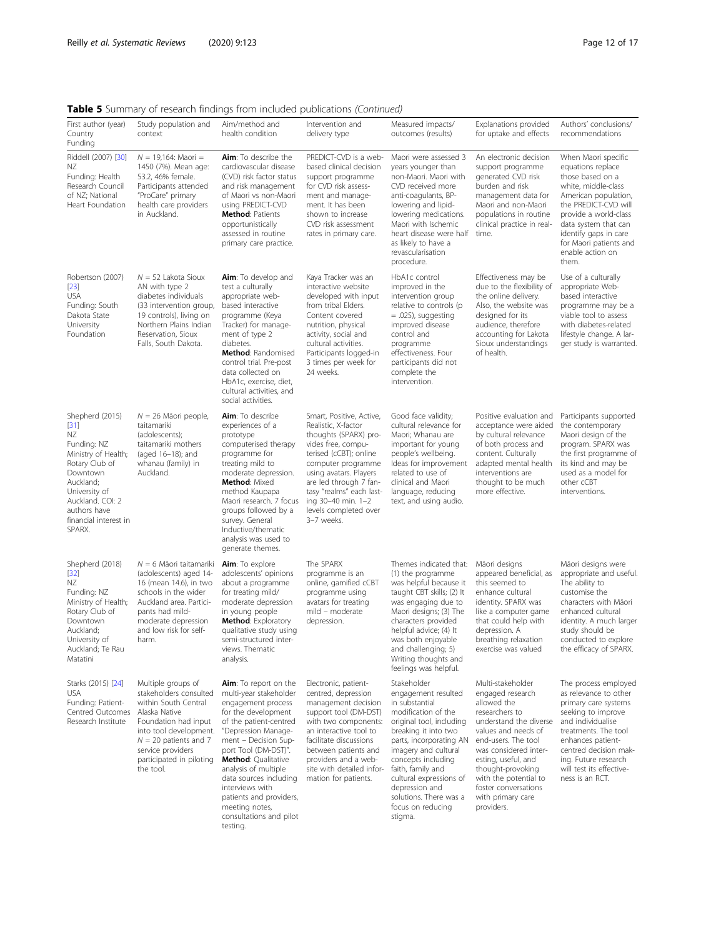|                                                                                                                                                                                                          |                                                                                                                                                                                                                                  | <b>Table 5</b> Surfittially Of research implified included publications (Continued)                                                                                                                                                                                                                                                                                                  |                                                                                                                                                                                                                                                                                             |                                                                                                                                                                                                                                                                                                                                      |                                                                                                                                                                                                                                                                                                         |                                                                                                                                                                                                                                                                      |
|----------------------------------------------------------------------------------------------------------------------------------------------------------------------------------------------------------|----------------------------------------------------------------------------------------------------------------------------------------------------------------------------------------------------------------------------------|--------------------------------------------------------------------------------------------------------------------------------------------------------------------------------------------------------------------------------------------------------------------------------------------------------------------------------------------------------------------------------------|---------------------------------------------------------------------------------------------------------------------------------------------------------------------------------------------------------------------------------------------------------------------------------------------|--------------------------------------------------------------------------------------------------------------------------------------------------------------------------------------------------------------------------------------------------------------------------------------------------------------------------------------|---------------------------------------------------------------------------------------------------------------------------------------------------------------------------------------------------------------------------------------------------------------------------------------------------------|----------------------------------------------------------------------------------------------------------------------------------------------------------------------------------------------------------------------------------------------------------------------|
| First author (year)<br>Country<br>Funding                                                                                                                                                                | Study population and<br>context                                                                                                                                                                                                  | Aim/method and<br>health condition                                                                                                                                                                                                                                                                                                                                                   | Intervention and<br>delivery type                                                                                                                                                                                                                                                           | Measured impacts/<br>outcomes (results)                                                                                                                                                                                                                                                                                              | Explanations provided<br>for uptake and effects                                                                                                                                                                                                                                                         | Authors' conclusions/<br>recommendations                                                                                                                                                                                                                             |
| Riddell (2007) [30]<br>ΝZ<br>Funding: Health<br>Research Council<br>of NZ; National<br>Heart Foundation                                                                                                  | $N = 19,164$ : Maori =<br>1450 (7%). Mean age:<br>53.2, 46% female.<br>Participants attended<br>"ProCare" primary<br>health care providers<br>in Auckland.                                                                       | <b>Aim:</b> To describe the<br>cardiovascular disease<br>(CVD) risk factor status<br>and risk management<br>of Maori vs non-Maori<br>using PREDICT-CVD<br>Method: Patients<br>opportunistically<br>assessed in routine<br>primary care practice.                                                                                                                                     | PREDICT-CVD is a web-<br>based clinical decision<br>support programme<br>for CVD risk assess-<br>ment and manage-<br>ment. It has been<br>shown to increase<br>CVD risk assessment<br>rates in primary care.                                                                                | Maori were assessed 3<br>years younger than<br>non-Maori. Maori with<br>CVD received more<br>anti-coagulants, BP-<br>lowering and lipid-<br>lowering medications.<br>Maori with Ischemic<br>heart disease were half<br>as likely to have a<br>revascularisation<br>procedure.                                                        | An electronic decision<br>support programme<br>generated CVD risk<br>burden and risk<br>management data for<br>Maori and non-Maori<br>populations in routine<br>clinical practice in real-<br>time.                                                                                                     | When Maori specific<br>equations replace<br>those based on a<br>white, middle-class<br>American population,<br>the PREDICT-CVD will<br>provide a world-class<br>data system that can<br>identify gaps in care<br>for Maori patients and<br>enable action on<br>them. |
| Robertson (2007)<br>$[23]$<br>USA<br>Funding: South<br>Dakota State<br>University<br>Foundation                                                                                                          | $N = 52$ Lakota Sioux<br>AN with type 2<br>diabetes individuals<br>(33 intervention group,<br>19 controls), living on<br>Northern Plains Indian<br>Reservation, Sioux<br>Falls, South Dakota.                                    | <b>Aim:</b> To develop and<br>test a culturally<br>appropriate web-<br>based interactive<br>programme (Keya<br>Tracker) for manage-<br>ment of type 2<br>diabetes.<br>Method: Randomised<br>control trial. Pre-post<br>data collected on<br>HbA1c, exercise, diet,<br>cultural activities, and<br>social activities.                                                                 | Kaya Tracker was an<br>interactive website<br>developed with input<br>from tribal Elders.<br>Content covered<br>nutrition, physical<br>activity, social and<br>cultural activities.<br>Participants logged-in<br>3 times per week for<br>24 weeks.                                          | HbA1c control<br>improved in the<br>intervention group<br>relative to controls (p<br>$= .025$ ), suggesting<br>improved disease<br>control and<br>programme<br>effectiveness. Four<br>participants did not<br>complete the<br>intervention.                                                                                          | Effectiveness may be<br>due to the flexibility of<br>the online delivery.<br>Also, the website was<br>designed for its<br>audience, therefore<br>accounting for Lakota<br>Sioux understandings<br>of health.                                                                                            | Use of a culturally<br>appropriate Web-<br>based interactive<br>programme may be a<br>viable tool to assess<br>with diabetes-related<br>lifestyle change. A lar-<br>ger study is warranted.                                                                          |
| Shepherd (2015)<br>$[31]$<br>ΝZ<br>Funding: NZ<br>Ministry of Health;<br>Rotary Club of<br>Downtown<br>Auckland;<br>University of<br>Auckland. COI: 2<br>authors have<br>financial interest in<br>SPARX. | $N = 26$ Mãori people,<br>taitamariki<br>(adolescents);<br>taitamariki mothers<br>(aged 16-18); and<br>whanau (family) in<br>Auckland.                                                                                           | <b>Aim:</b> To describe<br>experiences of a<br>prototype<br>computerised therapy<br>programme for<br>treating mild to<br>moderate depression.<br>Method: Mixed<br>method Kaupapa<br>Maori research. 7 focus<br>groups followed by a<br>survey. General<br>Inductive/thematic<br>analysis was used to<br>generate themes.                                                             | Smart, Positive, Active,<br>Realistic, X-factor<br>thoughts (SPARX) pro-<br>vides free, compu-<br>terised (cCBT); online<br>computer programme<br>using avatars. Players<br>are led through 7 fan-<br>tasy "realms" each last-<br>ing 30-40 min. 1-2<br>levels completed over<br>3-7 weeks. | Good face validity;<br>cultural relevance for<br>Maori; Whanau are<br>important for young<br>people's wellbeing.<br>Ideas for improvement<br>related to use of<br>clinical and Maori<br>language, reducing<br>text, and using audio.                                                                                                 | Positive evaluation and<br>acceptance were aided<br>by cultural relevance<br>of both process and<br>content. Culturally<br>adapted mental health<br>interventions are<br>thought to be much<br>more effective.                                                                                          | Participants supported<br>the contemporary<br>Maori design of the<br>program. SPARX was<br>the first programme of<br>its kind and may be<br>used as a model for<br>other cCBT<br>interventions.                                                                      |
| Shepherd (2018)<br>$[32]$<br>ΝZ<br>Funding: NZ<br>Ministry of Health;<br>Rotary Club of<br>Downtown<br>Auckland;<br>University of<br>Auckland; Te Rau<br>Matatini                                        | $N = 6$ Māori taitamariki<br>(adolescents) aged 14-<br>16 (mean 14.6), in two<br>schools in the wider<br>Auckland area. Partici-<br>pants had mild-<br>moderate depression<br>and low risk for self-<br>harm.                    | <b>Aim:</b> To explore<br>adolescents' opinions<br>about a programme<br>for treating mild/<br>moderate depression<br>in young people<br><b>Method: Exploratory</b><br>qualitative study using<br>semi-structured inter-<br>views. Thematic<br>analysis.                                                                                                                              | The SPARX<br>programme is an<br>online, gamified cCBT<br>programme using<br>avatars for treating<br>mild - moderate<br>depression.                                                                                                                                                          | Themes indicated that:<br>(1) the programme<br>was helpful because it<br>taught CBT skills; (2) It<br>was engaging due to<br>Maori designs; (3) The<br>characters provided<br>helpful advice; (4) It<br>was both enjoyable<br>and challenging; 5)<br>Writing thoughts and<br>feelings was helpful.                                   | Māori designs<br>appeared beneficial, as<br>this seemed to<br>enhance cultural<br>identity. SPARX was<br>like a computer game<br>that could help with<br>depression. A<br>breathing relaxation<br>exercise was valued                                                                                   | Mãori designs were<br>appropriate and useful.<br>The ability to<br>customise the<br>characters with Māori<br>enhanced cultural<br>identity. A much larger<br>study should be<br>conducted to explore<br>the efficacy of SPARX.                                       |
| Starks (2015) [24]<br><b>USA</b><br>Funding: Patient-<br>Centred Outcomes<br>Research Institute                                                                                                          | Multiple groups of<br>stakeholders consulted<br>within South Central<br>Alaska Native<br>Foundation had input<br>into tool development.<br>$N = 20$ patients and 7<br>service providers<br>participated in piloting<br>the tool. | <b>Aim:</b> To report on the<br>multi-year stakeholder<br>engagement process<br>for the development<br>of the patient-centred<br>"Depression Manage-<br>ment - Decision Sup-<br>port Tool (DM-DST)".<br>Method: Qualitative<br>analysis of multiple<br>data sources including<br>interviews with<br>patients and providers,<br>meeting notes,<br>consultations and pilot<br>testing. | Electronic, patient-<br>centred, depression<br>management decision<br>support tool (DM-DST)<br>with two components:<br>an interactive tool to<br>facilitate discussions<br>between patients and<br>providers and a web-<br>site with detailed infor-<br>mation for patients.                | Stakeholder<br>engagement resulted<br>in substantial<br>modification of the<br>original tool, including<br>breaking it into two<br>parts, incorporating AN<br>imagery and cultural<br>concepts including<br>faith, family and<br>cultural expressions of<br>depression and<br>solutions. There was a<br>focus on reducing<br>stigma. | Multi-stakeholder<br>engaged research<br>allowed the<br>researchers to<br>understand the diverse<br>values and needs of<br>end-users. The tool<br>was considered inter-<br>esting, useful, and<br>thought-provoking<br>with the potential to<br>foster conversations<br>with primary care<br>providers. | The process employed<br>as relevance to other<br>primary care systems<br>seeking to improve<br>and individualise<br>treatments. The tool<br>enhances patient-<br>centred decision mak-<br>ing. Future research<br>will test its effective-<br>ness is an RCT.        |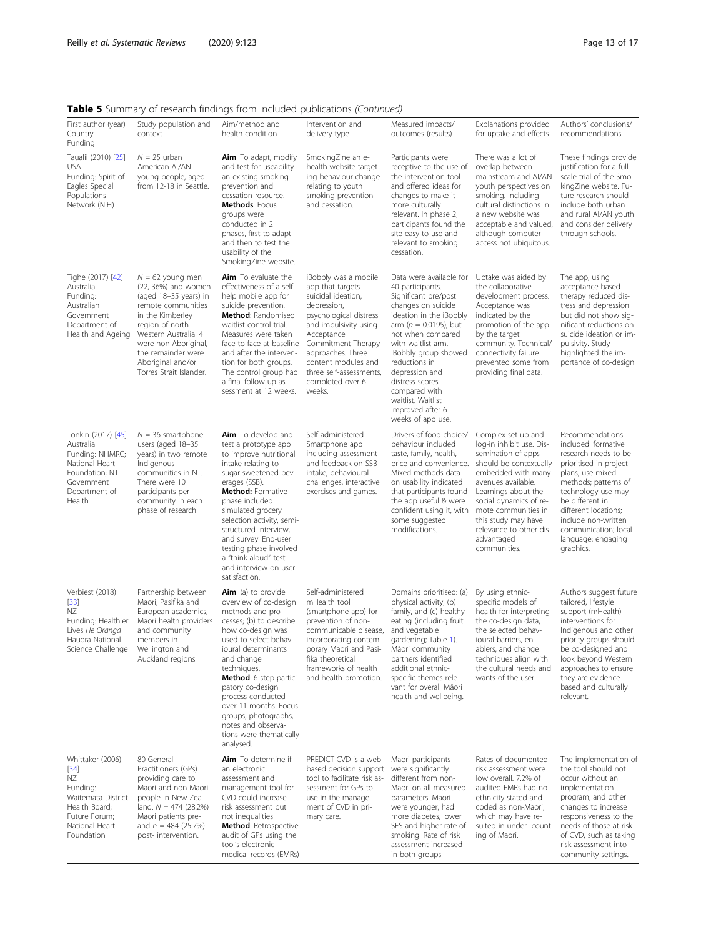|                                                                                                                                      |                                                                                                                                                                                                                                                        | <b>Table 3</b> Sammary or research imaings non-interacted papileations (commaca)                                                                                                                                                                                                                                                                                                                |                                                                                                                                                                                                                                                                           |                                                                                                                                                                                                                                                                                                                                                            |                                                                                                                                                                                                                                                                                                                           |                                                                                                                                                                                                                                                                                         |
|--------------------------------------------------------------------------------------------------------------------------------------|--------------------------------------------------------------------------------------------------------------------------------------------------------------------------------------------------------------------------------------------------------|-------------------------------------------------------------------------------------------------------------------------------------------------------------------------------------------------------------------------------------------------------------------------------------------------------------------------------------------------------------------------------------------------|---------------------------------------------------------------------------------------------------------------------------------------------------------------------------------------------------------------------------------------------------------------------------|------------------------------------------------------------------------------------------------------------------------------------------------------------------------------------------------------------------------------------------------------------------------------------------------------------------------------------------------------------|---------------------------------------------------------------------------------------------------------------------------------------------------------------------------------------------------------------------------------------------------------------------------------------------------------------------------|-----------------------------------------------------------------------------------------------------------------------------------------------------------------------------------------------------------------------------------------------------------------------------------------|
| First author (year)<br>Country<br>Funding                                                                                            | Study population and<br>context                                                                                                                                                                                                                        | Aim/method and<br>health condition                                                                                                                                                                                                                                                                                                                                                              | Intervention and<br>delivery type                                                                                                                                                                                                                                         | Measured impacts/<br>outcomes (results)                                                                                                                                                                                                                                                                                                                    | Explanations provided<br>for uptake and effects                                                                                                                                                                                                                                                                           | Authors' conclusions/<br>recommendations                                                                                                                                                                                                                                                |
| Taualii (2010) [25]<br><b>USA</b><br>Funding: Spirit of<br>Eagles Special<br>Populations<br>Network (NIH)                            | $N = 25$ urban<br>American Al/AN<br>young people, aged<br>from 12-18 in Seattle.                                                                                                                                                                       | <b>Aim:</b> To adapt, modify<br>and test for useability<br>an existing smoking<br>prevention and<br>cessation resource.<br><b>Methods: Focus</b><br>groups were<br>conducted in 2<br>phases, first to adapt<br>and then to test the<br>usability of the<br>SmokingZine website.                                                                                                                 | SmokingZine an e-<br>health website target-<br>ing behaviour change<br>relating to youth<br>smoking prevention<br>and cessation.                                                                                                                                          | Participants were<br>receptive to the use of<br>the intervention tool<br>and offered ideas for<br>changes to make it<br>more culturally<br>relevant. In phase 2,<br>participants found the<br>site easy to use and<br>relevant to smoking<br>cessation.                                                                                                    | There was a lot of<br>overlap between<br>mainstream and AI/AN<br>youth perspectives on<br>smoking. Including<br>cultural distinctions in<br>a new website was<br>acceptable and valued,<br>although computer<br>access not ubiquitous.                                                                                    | These findings provide<br>justification for a full-<br>scale trial of the Smo-<br>kingZine website. Fu-<br>ture research should<br>include both urban<br>and rural Al/AN youth<br>and consider delivery<br>through schools.                                                             |
| Tighe (2017) [42]<br>Australia<br>Funding:<br>Australian<br>Government<br>Department of<br>Health and Ageing                         | $N = 62$ young men<br>(22, 36%) and women<br>(aged 18-35 years) in<br>remote communities<br>in the Kimberley<br>region of north-<br>Western Australia. 4<br>were non-Aboriginal,<br>the remainder were<br>Aboriginal and/or<br>Torres Strait Islander. | Aim: To evaluate the<br>effectiveness of a self-<br>help mobile app for<br>suicide prevention.<br>Method: Randomised<br>waitlist control trial.<br>Measures were taken<br>face-to-face at baseline<br>and after the interven-<br>tion for both groups.<br>The control group had<br>a final follow-up as-<br>sessment at 12 weeks.                                                               | iBobbly was a mobile<br>app that targets<br>suicidal ideation,<br>depression,<br>psychological distress<br>and impulsivity using<br>Acceptance<br>Commitment Therapy<br>approaches. Three<br>content modules and<br>three self-assessments,<br>completed over 6<br>weeks. | Data were available for<br>40 participants.<br>Significant pre/post<br>changes on suicide<br>ideation in the iBobbly<br>arm ( $p = 0.0195$ ), but<br>not when compared<br>with waitlist arm.<br>iBobbly group showed<br>reductions in<br>depression and<br>distress scores<br>compared with<br>waitlist. Waitlist<br>improved after 6<br>weeks of app use. | Uptake was aided by<br>the collaborative<br>development process.<br>Acceptance was<br>indicated by the<br>promotion of the app<br>by the target<br>community. Technical/<br>connectivity failure<br>prevented some from<br>providing final data.                                                                          | The app, using<br>acceptance-based<br>therapy reduced dis-<br>tress and depression<br>but did not show sig-<br>nificant reductions on<br>suicide ideation or im-<br>pulsivity. Study<br>highlighted the im-<br>portance of co-design.                                                   |
| Tonkin (2017) [45]<br>Australia<br>Funding: NHMRC;<br>National Heart<br>Foundation; NT<br>Government<br>Department of<br>Health      | $N = 36$ smartphone<br>users (aged 18-35<br>years) in two remote<br>Indigenous<br>communities in NT.<br>There were 10<br>participants per<br>community in each<br>phase of research.                                                                   | <b>Aim:</b> To develop and<br>test a prototype app<br>to improve nutritional<br>intake relating to<br>sugar-sweetened bev-<br>erages (SSB).<br><b>Method:</b> Formative<br>phase included<br>simulated grocery<br>selection activity, semi-<br>structured interview,<br>and survey. End-user<br>testing phase involved<br>a "think aloud" test<br>and interview on user<br>satisfaction.        | Self-administered<br>Smartphone app<br>including assessment<br>and feedback on SSB<br>intake, behavioural<br>challenges, interactive<br>exercises and games.                                                                                                              | Drivers of food choice/<br>behaviour included<br>taste, family, health,<br>Mixed methods data<br>on usability indicated<br>that participants found<br>the app useful & were<br>confident using it, with<br>some suggested<br>modifications.                                                                                                                | Complex set-up and<br>log-in inhibit use. Dis-<br>semination of apps<br>price and convenience. should be contextually<br>embedded with many<br>avenues available.<br>Learnings about the<br>social dynamics of re-<br>mote communities in<br>this study may have<br>relevance to other dis-<br>advantaged<br>communities. | Recommendations<br>included: formative<br>research needs to be<br>prioritised in project<br>plans; use mixed<br>methods; patterns of<br>technology use may<br>be different in<br>different locations;<br>include non-written<br>communication; local<br>language; engaging<br>graphics. |
| Verbiest (2018)<br>$[33]$<br>ΝZ<br>Funding: Healthier<br>Lives He Oranga<br>Hauora National<br>Science Challenge                     | Partnership between<br>Maori, Pasifika and<br>European academics,<br>Maori health providers<br>and community<br>members in<br>Wellington and<br>Auckland regions.                                                                                      | <b>Aim</b> : (a) to provide<br>overview of co-design<br>methods and pro-<br>cesses; (b) to describe<br>how co-design was<br>used to select behav-<br>joural determinants<br>and change<br>techniques.<br><b>Method:</b> 6-step partici-<br>patory co-design<br>process conducted<br>over 11 months. Focus<br>groups, photographs,<br>notes and observa-<br>tions were thematically<br>analysed. | Self-administered<br>mHealth tool<br>(smartphone app) for<br>prevention of non-<br>communicable disease,<br>incorporating contem-<br>porary Maori and Pasi-<br>fika theoretical<br>frameworks of health<br>and health promotion.                                          | Domains prioritised: (a)<br>physical activity, (b)<br>family, and (c) healthy<br>eating (including fruit<br>and vegetable<br>gardening; Table 1).<br>Māori community<br>partners identified<br>additional ethnic-<br>specific themes rele-<br>vant for overall Māori<br>health and wellbeing.                                                              | By using ethnic-<br>specific models of<br>health for interpreting<br>the co-design data,<br>the selected behav-<br>ioural barriers, en-<br>ablers, and change<br>techniques align with<br>the cultural needs and<br>wants of the user.                                                                                    | Authors suggest future<br>tailored, lifestyle<br>support (mHealth)<br>interventions for<br>Indigenous and other<br>priority groups should<br>be co-designed and<br>look beyond Western<br>approaches to ensure<br>they are evidence-<br>based and culturally<br>relevant.               |
| Whittaker (2006)<br>$[34]$<br>ΝZ<br>Funding:<br>Waitemata District<br>Health Board;<br>Future Forum;<br>National Heart<br>Foundation | 80 General<br>Practitioners (GPs)<br>providing care to<br>Maori and non-Maori<br>people in New Zea-<br>land. $N = 474$ (28.2%)<br>Maori patients pre-<br>and $n = 484$ (25.7%)<br>post-intervention.                                                   | Aim: To determine if<br>an electronic<br>assessment and<br>management tool for<br>CVD could increase<br>risk assessment but<br>not inequalities.<br><b>Method: Retrospective</b><br>audit of GPs using the<br>tool's electronic<br>medical records (EMRs)                                                                                                                                       | PREDICT-CVD is a web-<br>based decision support<br>tool to facilitate risk as-<br>sessment for GPs to<br>use in the manage-<br>ment of CVD in pri-<br>mary care.                                                                                                          | Maori participants<br>were significantly<br>different from non-<br>Maori on all measured<br>parameters. Maori<br>were younger, had<br>more diabetes, lower<br>SES and higher rate of<br>smoking. Rate of risk<br>assessment increased<br>in both groups.                                                                                                   | Rates of documented<br>risk assessment were<br>low overall, 7,2% of<br>audited EMRs had no<br>ethnicity stated and<br>coded as non-Maori,<br>which may have re-<br>sulted in under- count-<br>ing of Maori.                                                                                                               | The implementation of<br>the tool should not<br>occur without an<br>implementation<br>program, and other<br>changes to increase<br>responsiveness to the<br>needs of those at risk<br>of CVD, such as taking<br>risk assessment into<br>community settings.                             |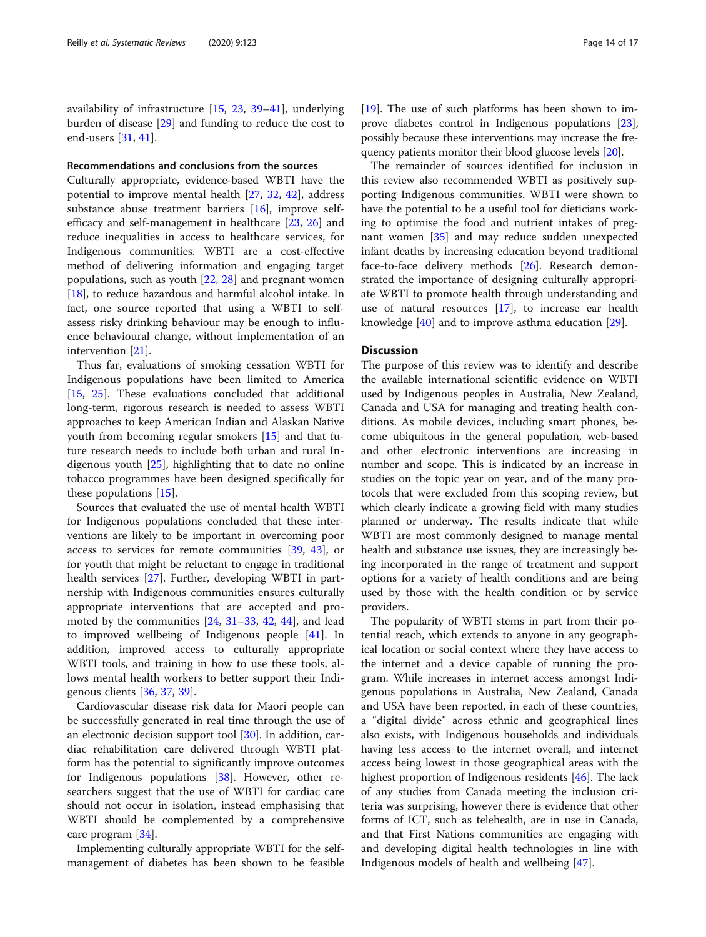availability of infrastructure [\[15](#page-15-0), [23](#page-15-0), [39](#page-15-0)–[41](#page-15-0)], underlying burden of disease [\[29\]](#page-15-0) and funding to reduce the cost to end-users [\[31](#page-15-0), [41](#page-15-0)].

#### Recommendations and conclusions from the sources

Culturally appropriate, evidence-based WBTI have the potential to improve mental health [[27,](#page-15-0) [32](#page-15-0), [42\]](#page-15-0), address substance abuse treatment barriers [\[16](#page-15-0)], improve selfefficacy and self-management in healthcare [\[23](#page-15-0), [26\]](#page-15-0) and reduce inequalities in access to healthcare services, for Indigenous communities. WBTI are a cost-effective method of delivering information and engaging target populations, such as youth [\[22,](#page-15-0) [28\]](#page-15-0) and pregnant women [[18\]](#page-15-0), to reduce hazardous and harmful alcohol intake. In fact, one source reported that using a WBTI to selfassess risky drinking behaviour may be enough to influence behavioural change, without implementation of an intervention [[21](#page-15-0)].

Thus far, evaluations of smoking cessation WBTI for Indigenous populations have been limited to America [[15,](#page-15-0) [25](#page-15-0)]. These evaluations concluded that additional long-term, rigorous research is needed to assess WBTI approaches to keep American Indian and Alaskan Native youth from becoming regular smokers [[15\]](#page-15-0) and that future research needs to include both urban and rural Indigenous youth [\[25\]](#page-15-0), highlighting that to date no online tobacco programmes have been designed specifically for these populations [[15\]](#page-15-0).

Sources that evaluated the use of mental health WBTI for Indigenous populations concluded that these interventions are likely to be important in overcoming poor access to services for remote communities [[39](#page-15-0), [43\]](#page-15-0), or for youth that might be reluctant to engage in traditional health services [[27](#page-15-0)]. Further, developing WBTI in partnership with Indigenous communities ensures culturally appropriate interventions that are accepted and promoted by the communities [\[24,](#page-15-0) [31](#page-15-0)–[33](#page-15-0), [42](#page-15-0), [44\]](#page-15-0), and lead to improved wellbeing of Indigenous people [[41\]](#page-15-0). In addition, improved access to culturally appropriate WBTI tools, and training in how to use these tools, allows mental health workers to better support their Indigenous clients [[36,](#page-15-0) [37](#page-15-0), [39](#page-15-0)].

Cardiovascular disease risk data for Maori people can be successfully generated in real time through the use of an electronic decision support tool [[30\]](#page-15-0). In addition, cardiac rehabilitation care delivered through WBTI platform has the potential to significantly improve outcomes for Indigenous populations [\[38\]](#page-15-0). However, other researchers suggest that the use of WBTI for cardiac care should not occur in isolation, instead emphasising that WBTI should be complemented by a comprehensive care program [[34](#page-15-0)].

Implementing culturally appropriate WBTI for the selfmanagement of diabetes has been shown to be feasible

[[19](#page-15-0)]. The use of such platforms has been shown to improve diabetes control in Indigenous populations [[23](#page-15-0)], possibly because these interventions may increase the frequency patients monitor their blood glucose levels [[20](#page-15-0)].

The remainder of sources identified for inclusion in this review also recommended WBTI as positively supporting Indigenous communities. WBTI were shown to have the potential to be a useful tool for dieticians working to optimise the food and nutrient intakes of pregnant women [[35\]](#page-15-0) and may reduce sudden unexpected infant deaths by increasing education beyond traditional face-to-face delivery methods [\[26\]](#page-15-0). Research demonstrated the importance of designing culturally appropriate WBTI to promote health through understanding and use of natural resources  $[17]$  $[17]$  $[17]$ , to increase ear health knowledge [\[40](#page-15-0)] and to improve asthma education [\[29](#page-15-0)].

#### **Discussion**

The purpose of this review was to identify and describe the available international scientific evidence on WBTI used by Indigenous peoples in Australia, New Zealand, Canada and USA for managing and treating health conditions. As mobile devices, including smart phones, become ubiquitous in the general population, web-based and other electronic interventions are increasing in number and scope. This is indicated by an increase in studies on the topic year on year, and of the many protocols that were excluded from this scoping review, but which clearly indicate a growing field with many studies planned or underway. The results indicate that while WBTI are most commonly designed to manage mental health and substance use issues, they are increasingly being incorporated in the range of treatment and support options for a variety of health conditions and are being used by those with the health condition or by service providers.

The popularity of WBTI stems in part from their potential reach, which extends to anyone in any geographical location or social context where they have access to the internet and a device capable of running the program. While increases in internet access amongst Indigenous populations in Australia, New Zealand, Canada and USA have been reported, in each of these countries, a "digital divide" across ethnic and geographical lines also exists, with Indigenous households and individuals having less access to the internet overall, and internet access being lowest in those geographical areas with the highest proportion of Indigenous residents [\[46](#page-16-0)]. The lack of any studies from Canada meeting the inclusion criteria was surprising, however there is evidence that other forms of ICT, such as telehealth, are in use in Canada, and that First Nations communities are engaging with and developing digital health technologies in line with Indigenous models of health and wellbeing [[47\]](#page-16-0).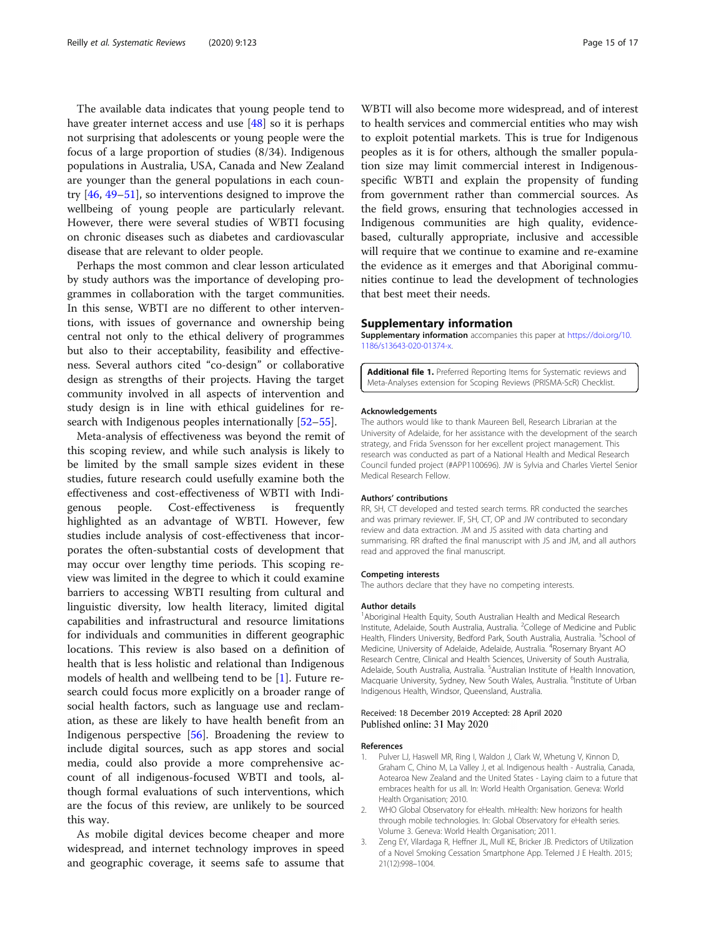<span id="page-14-0"></span>The available data indicates that young people tend to have greater internet access and use [[48\]](#page-16-0) so it is perhaps not surprising that adolescents or young people were the focus of a large proportion of studies (8/34). Indigenous populations in Australia, USA, Canada and New Zealand are younger than the general populations in each country [\[46,](#page-16-0) [49](#page-16-0)–[51\]](#page-16-0), so interventions designed to improve the wellbeing of young people are particularly relevant. However, there were several studies of WBTI focusing on chronic diseases such as diabetes and cardiovascular disease that are relevant to older people.

Perhaps the most common and clear lesson articulated by study authors was the importance of developing programmes in collaboration with the target communities. In this sense, WBTI are no different to other interventions, with issues of governance and ownership being central not only to the ethical delivery of programmes but also to their acceptability, feasibility and effectiveness. Several authors cited "co-design" or collaborative design as strengths of their projects. Having the target community involved in all aspects of intervention and study design is in line with ethical guidelines for re-search with Indigenous peoples internationally [[52](#page-16-0)–[55](#page-16-0)].

Meta-analysis of effectiveness was beyond the remit of this scoping review, and while such analysis is likely to be limited by the small sample sizes evident in these studies, future research could usefully examine both the effectiveness and cost-effectiveness of WBTI with Indigenous people. Cost-effectiveness is frequently highlighted as an advantage of WBTI. However, few studies include analysis of cost-effectiveness that incorporates the often-substantial costs of development that may occur over lengthy time periods. This scoping review was limited in the degree to which it could examine barriers to accessing WBTI resulting from cultural and linguistic diversity, low health literacy, limited digital capabilities and infrastructural and resource limitations for individuals and communities in different geographic locations. This review is also based on a definition of health that is less holistic and relational than Indigenous models of health and wellbeing tend to be [1]. Future research could focus more explicitly on a broader range of social health factors, such as language use and reclamation, as these are likely to have health benefit from an Indigenous perspective [[56\]](#page-16-0). Broadening the review to include digital sources, such as app stores and social media, could also provide a more comprehensive account of all indigenous-focused WBTI and tools, although formal evaluations of such interventions, which are the focus of this review, are unlikely to be sourced this way.

As mobile digital devices become cheaper and more widespread, and internet technology improves in speed and geographic coverage, it seems safe to assume that WBTI will also become more widespread, and of interest to health services and commercial entities who may wish to exploit potential markets. This is true for Indigenous peoples as it is for others, although the smaller population size may limit commercial interest in Indigenousspecific WBTI and explain the propensity of funding from government rather than commercial sources. As the field grows, ensuring that technologies accessed in Indigenous communities are high quality, evidencebased, culturally appropriate, inclusive and accessible will require that we continue to examine and re-examine the evidence as it emerges and that Aboriginal communities continue to lead the development of technologies that best meet their needs.

#### Supplementary information

Supplementary information accompanies this paper at [https://doi.org/10.](https://doi.org/10.1186/s13643-020-01374-x) [1186/s13643-020-01374-x.](https://doi.org/10.1186/s13643-020-01374-x)

Additional file 1. Preferred Reporting Items for Systematic reviews and Meta-Analyses extension for Scoping Reviews (PRISMA-ScR) Checklist.

#### Acknowledgements

The authors would like to thank Maureen Bell, Research Librarian at the University of Adelaide, for her assistance with the development of the search strategy, and Frida Svensson for her excellent project management. This research was conducted as part of a National Health and Medical Research Council funded project (#APP1100696). JW is Sylvia and Charles Viertel Senior Medical Research Fellow.

#### Authors' contributions

RR, SH, CT developed and tested search terms. RR conducted the searches and was primary reviewer. IF, SH, CT, OP and JW contributed to secondary review and data extraction. JM and JS assited with data charting and summarising. RR drafted the final manuscript with JS and JM, and all authors read and approved the final manuscript.

#### Competing interests

The authors declare that they have no competing interests.

#### Author details

<sup>1</sup> Aboriginal Health Equity, South Australian Health and Medical Research Institute, Adelaide, South Australia, Australia. <sup>2</sup>College of Medicine and Public Health, Flinders University, Bedford Park, South Australia, Australia. <sup>3</sup>School of Medicine, University of Adelaide, Adelaide, Australia. <sup>4</sup>Rosemary Bryant AC Research Centre, Clinical and Health Sciences, University of South Australia, Adelaide, South Australia, Australia. <sup>5</sup> Australian Institute of Health Innovation Macquarie University, Sydney, New South Wales, Australia. <sup>6</sup>Institute of Urban Indigenous Health, Windsor, Queensland, Australia.

#### Received: 18 December 2019 Accepted: 28 April 2020 Published online: 31 May 2020

#### References

- 1. Pulver LJ, Haswell MR, Ring I, Waldon J, Clark W, Whetung V, Kinnon D, Graham C, Chino M, La Valley J, et al. Indigenous health - Australia, Canada, Aotearoa New Zealand and the United States - Laying claim to a future that embraces health for us all. In: World Health Organisation. Geneva: World Health Organisation; 2010.
- 2. WHO Global Observatory for eHealth. mHealth: New horizons for health through mobile technologies. In: Global Observatory for eHealth series. Volume 3. Geneva: World Health Organisation; 2011.
- 3. Zeng EY, Vilardaga R, Heffner JL, Mull KE, Bricker JB. Predictors of Utilization of a Novel Smoking Cessation Smartphone App. Telemed J E Health. 2015; 21(12):998–1004.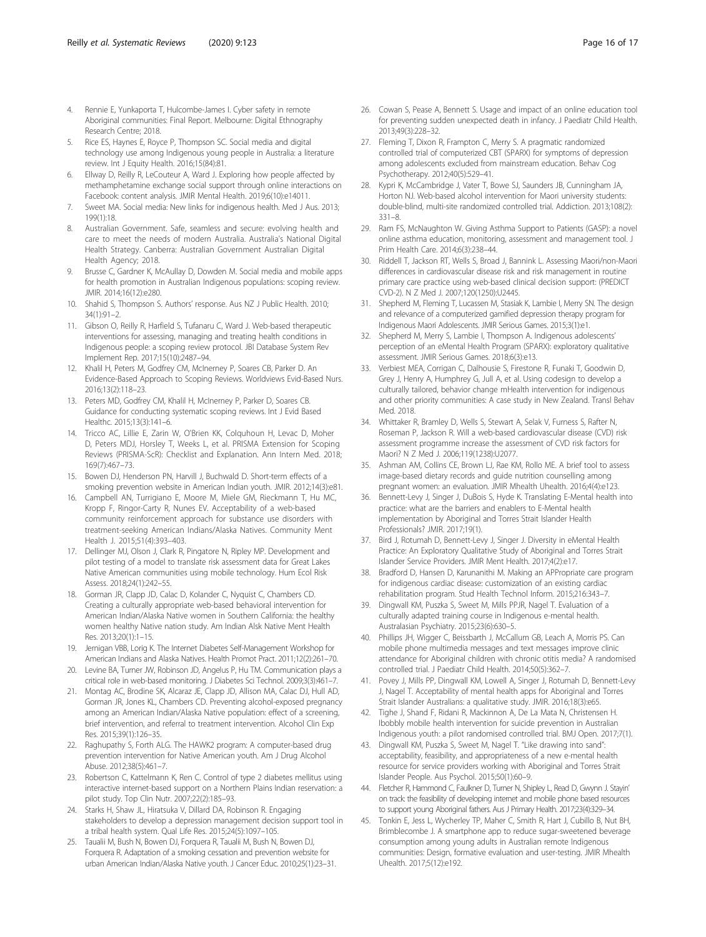- <span id="page-15-0"></span>4. Rennie E, Yunkaporta T, Hulcombe-James I. Cyber safety in remote Aboriginal communities: Final Report. Melbourne: Digital Ethnography Research Centre; 2018.
- Rice ES, Haynes E, Royce P, Thompson SC. Social media and digital technology use among Indigenous young people in Australia: a literature review. Int J Equity Health. 2016;15(84):81.
- 6. Ellway D, Reilly R, LeCouteur A, Ward J. Exploring how people affected by methamphetamine exchange social support through online interactions on Facebook: content analysis. JMIR Mental Health. 2019;6(10):e14011.
- 7. Sweet MA. Social media: New links for indigenous health. Med J Aus. 2013; 199(1):18.
- 8. Australian Government. Safe, seamless and secure: evolving health and care to meet the needs of modern Australia. Australia's National Digital Health Strategy. Canberra: Australian Government Australian Digital Health Agency; 2018.
- Brusse C, Gardner K, McAullay D, Dowden M. Social media and mobile apps for health promotion in Australian Indigenous populations: scoping review. JMIR. 2014;16(12):e280.
- 10. Shahid S, Thompson S. Authors' response. Aus NZ J Public Health. 2010; 34(1):91–2.
- 11. Gibson O, Reilly R, Harfield S, Tufanaru C, Ward J. Web-based therapeutic interventions for assessing, managing and treating health conditions in Indigenous people: a scoping review protocol. JBI Database System Rev Implement Rep. 2017;15(10):2487–94.
- 12. Khalil H, Peters M, Godfrey CM, McInerney P, Soares CB, Parker D. An Evidence-Based Approach to Scoping Reviews. Worldviews Evid-Based Nurs. 2016;13(2):118–23.
- 13. Peters MD, Godfrey CM, Khalil H, McInerney P, Parker D, Soares CB. Guidance for conducting systematic scoping reviews. Int J Evid Based Healthc. 2015;13(3):141–6.
- 14. Tricco AC, Lillie E, Zarin W, O'Brien KK, Colquhoun H, Levac D, Moher D, Peters MDJ, Horsley T, Weeks L, et al. PRISMA Extension for Scoping Reviews (PRISMA-ScR): Checklist and Explanation. Ann Intern Med. 2018; 169(7):467–73.
- 15. Bowen DJ, Henderson PN, Harvill J, Buchwald D. Short-term effects of a smoking prevention website in American Indian youth. JMIR. 2012;14(3):e81.
- 16. Campbell AN, Turrigiano E, Moore M, Miele GM, Rieckmann T, Hu MC, Kropp F, Ringor-Carty R, Nunes EV. Acceptability of a web-based community reinforcement approach for substance use disorders with treatment-seeking American Indians/Alaska Natives. Community Ment Health J. 2015;51(4):393–403.
- 17. Dellinger MJ, Olson J, Clark R, Pingatore N, Ripley MP. Development and pilot testing of a model to translate risk assessment data for Great Lakes Native American communities using mobile technology. Hum Ecol Risk Assess. 2018;24(1):242–55.
- 18. Gorman JR, Clapp JD, Calac D, Kolander C, Nyquist C, Chambers CD. Creating a culturally appropriate web-based behavioral intervention for American Indian/Alaska Native women in Southern California: the healthy women healthy Native nation study. Am Indian Alsk Native Ment Health Res. 2013;20(1):1–15.
- 19. Jernigan VBB, Lorig K. The Internet Diabetes Self-Management Workshop for American Indians and Alaska Natives. Health Promot Pract. 2011;12(2):261–70.
- 20. Levine BA, Turner JW, Robinson JD, Angelus P, Hu TM. Communication plays a critical role in web-based monitoring. J Diabetes Sci Technol. 2009;3(3):461–7.
- 21. Montag AC, Brodine SK, Alcaraz JE, Clapp JD, Allison MA, Calac DJ, Hull AD, Gorman JR, Jones KL, Chambers CD. Preventing alcohol-exposed pregnancy among an American Indian/Alaska Native population: effect of a screening, brief intervention, and referral to treatment intervention. Alcohol Clin Exp Res. 2015;39(1):126–35.
- 22. Raghupathy S, Forth ALG. The HAWK2 program: A computer-based drug prevention intervention for Native American youth. Am J Drug Alcohol Abuse. 2012;38(5):461–7.
- 23. Robertson C, Kattelmann K, Ren C. Control of type 2 diabetes mellitus using interactive internet-based support on a Northern Plains Indian reservation: a pilot study. Top Clin Nutr. 2007;22(2):185–93.
- 24. Starks H, Shaw JL, Hiratsuka V, Dillard DA, Robinson R. Engaging stakeholders to develop a depression management decision support tool in a tribal health system. Qual Life Res. 2015;24(5):1097–105.
- 25. Taualii M, Bush N, Bowen DJ, Forquera R, Taualii M, Bush N, Bowen DJ, Forquera R. Adaptation of a smoking cessation and prevention website for urban American Indian/Alaska Native youth. J Cancer Educ. 2010;25(1):23–31.
- 26. Cowan S, Pease A, Bennett S. Usage and impact of an online education tool for preventing sudden unexpected death in infancy. J Paediatr Child Health. 2013;49(3):228–32.
- 27. Fleming T, Dixon R, Frampton C, Merry S. A pragmatic randomized controlled trial of computerized CBT (SPARX) for symptoms of depression among adolescents excluded from mainstream education. Behav Cog Psychotherapy. 2012;40(5):529–41.
- 28. Kypri K, McCambridge J, Vater T, Bowe SJ, Saunders JB, Cunningham JA, Horton NJ. Web-based alcohol intervention for Maori university students: double-blind, multi-site randomized controlled trial. Addiction. 2013;108(2): 331–8.
- 29. Ram FS, McNaughton W. Giving Asthma Support to Patients (GASP): a novel online asthma education, monitoring, assessment and management tool. J Prim Health Care. 2014;6(3):238–44.
- 30. Riddell T, Jackson RT, Wells S, Broad J, Bannink L. Assessing Maori/non-Maori differences in cardiovascular disease risk and risk management in routine primary care practice using web-based clinical decision support: (PREDICT CVD-2). N Z Med J. 2007;120(1250):U2445.
- 31. Shepherd M, Fleming T, Lucassen M, Stasiak K, Lambie I, Merry SN. The design and relevance of a computerized gamified depression therapy program for Indigenous Maori Adolescents. JMIR Serious Games. 2015;3(1):e1.
- 32. Shepherd M, Merry S, Lambie I, Thompson A. Indigenous adolescents' perception of an eMental Health Program (SPARX): exploratory qualitative assessment. JMIR Serious Games. 2018;6(3):e13.
- 33. Verbiest MEA, Corrigan C, Dalhousie S, Firestone R, Funaki T, Goodwin D, Grey J, Henry A, Humphrey G, Jull A, et al. Using codesign to develop a culturally tailored, behavior change mHealth intervention for indigenous and other priority communities: A case study in New Zealand. Transl Behav Med. 2018.
- 34. Whittaker R, Bramley D, Wells S, Stewart A, Selak V, Furness S, Rafter N, Roseman P, Jackson R. Will a web-based cardiovascular disease (CVD) risk assessment programme increase the assessment of CVD risk factors for Maori? N Z Med J. 2006;119(1238):U2077.
- 35. Ashman AM, Collins CE, Brown LJ, Rae KM, Rollo ME. A brief tool to assess image-based dietary records and guide nutrition counselling among pregnant women: an evaluation. JMIR Mhealth Uhealth. 2016;4(4):e123.
- 36. Bennett-Levy J, Singer J, DuBois S, Hyde K. Translating E-Mental health into practice: what are the barriers and enablers to E-Mental health implementation by Aboriginal and Torres Strait Islander Health Professionals? JMIR. 2017;19(1).
- 37. Bird J, Rotumah D, Bennett-Levy J, Singer J. Diversity in eMental Health Practice: An Exploratory Qualitative Study of Aboriginal and Torres Strait Islander Service Providers. JMIR Ment Health. 2017;4(2):e17.
- 38. Bradford D, Hansen D, Karunanithi M. Making an APPropriate care program for indigenous cardiac disease: customization of an existing cardiac rehabilitation program. Stud Health Technol Inform. 2015;216:343–7.
- 39. Dingwall KM, Puszka S, Sweet M, Mills PPJR, Nagel T. Evaluation of a culturally adapted training course in Indigenous e-mental health. Australasian Psychiatry. 2015;23(6):630–5.
- 40. Phillips JH, Wigger C, Beissbarth J, McCallum GB, Leach A, Morris PS. Can mobile phone multimedia messages and text messages improve clinic attendance for Aboriginal children with chronic otitis media? A randomised controlled trial. J Paediatr Child Health. 2014;50(5):362–7.
- 41. Povey J, Mills PP, Dingwall KM, Lowell A, Singer J, Rotumah D, Bennett-Levy J, Nagel T. Acceptability of mental health apps for Aboriginal and Torres Strait Islander Australians: a qualitative study. JMIR. 2016;18(3):e65.
- 42. Tighe J, Shand F, Ridani R, Mackinnon A, De La Mata N, Christensen H. Ibobbly mobile health intervention for suicide prevention in Australian Indigenous youth: a pilot randomised controlled trial. BMJ Open. 2017;7(1).
- 43. Dingwall KM, Puszka S, Sweet M, Nagel T. "Like drawing into sand": acceptability, feasibility, and appropriateness of a new e-mental health resource for service providers working with Aboriginal and Torres Strait Islander People. Aus Psychol. 2015;50(1):60–9.
- 44. Fletcher R, Hammond C, Faulkner D, Turner N, Shipley L, Read D, Gwynn J. Stayin' on track: the feasibility of developing internet and mobile phone based resources to support young Aboriginal fathers. Aus J Primary Health. 2017;23(4):329–34.
- 45. Tonkin E, Jess L, Wycherley TP, Maher C, Smith R, Hart J, Cubillo B, Nut BH, Brimblecombe J. A smartphone app to reduce sugar-sweetened beverage consumption among young adults in Australian remote Indigenous communities: Design, formative evaluation and user-testing. JMIR Mhealth Uhealth. 2017;5(12):e192.